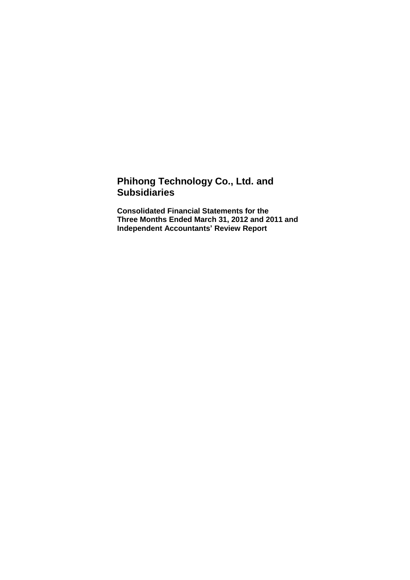# **Phihong Technology Co., Ltd. and Subsidiaries**

**Consolidated Financial Statements for the Three Months Ended March 31, 2012 and 2011 and Independent Accountants' Review Report**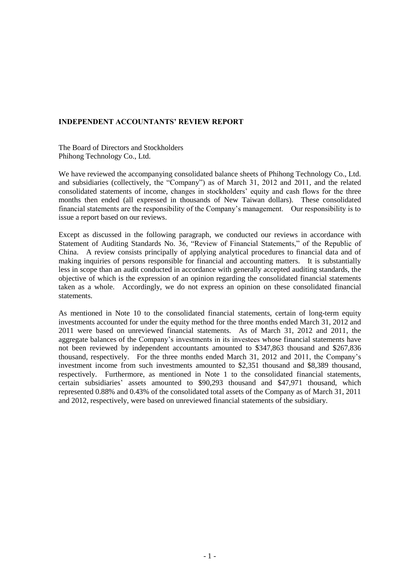#### **INDEPENDENT ACCOUNTANTS' REVIEW REPORT**

The Board of Directors and Stockholders Phihong Technology Co., Ltd.

We have reviewed the accompanying consolidated balance sheets of Phihong Technology Co., Ltd. and subsidiaries (collectively, the "Company") as of March 31, 2012 and 2011, and the related consolidated statements of income, changes in stockholders' equity and cash flows for the three months then ended (all expressed in thousands of New Taiwan dollars). These consolidated financial statements are the responsibility of the Company's management. Our responsibility is to issue a report based on our reviews.

Except as discussed in the following paragraph, we conducted our reviews in accordance with Statement of Auditing Standards No. 36, "Review of Financial Statements," of the Republic of China. A review consists principally of applying analytical procedures to financial data and of making inquiries of persons responsible for financial and accounting matters. It is substantially less in scope than an audit conducted in accordance with generally accepted auditing standards, the objective of which is the expression of an opinion regarding the consolidated financial statements taken as a whole. Accordingly, we do not express an opinion on these consolidated financial statements.

As mentioned in Note 10 to the consolidated financial statements, certain of long-term equity investments accounted for under the equity method for the three months ended March 31, 2012 and 2011 were based on unreviewed financial statements. As of March 31, 2012 and 2011, the aggregate balances of the Company's investments in its investees whose financial statements have not been reviewed by independent accountants amounted to \$347,863 thousand and \$267,836 thousand, respectively. For the three months ended March 31, 2012 and 2011, the Company's investment income from such investments amounted to \$2,351 thousand and \$8,389 thousand, respectively. Furthermore, as mentioned in Note 1 to the consolidated financial statements, certain subsidiaries' assets amounted to \$90,293 thousand and \$47,971 thousand, which represented 0.88% and 0.43% of the consolidated total assets of the Company as of March 31, 2011 and 2012, respectively, were based on unreviewed financial statements of the subsidiary.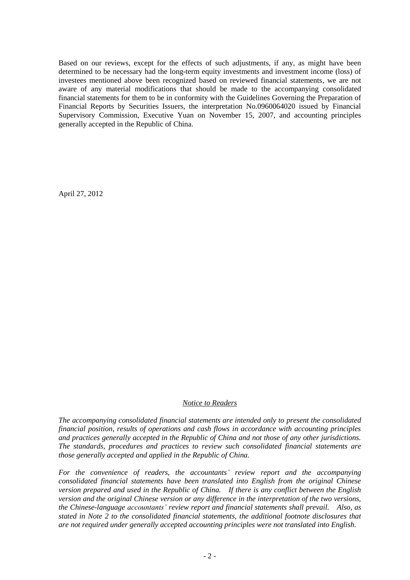Based on our reviews, except for the effects of such adjustments, if any, as might have been determined to be necessary had the long-term equity investments and investment income (loss) of investees mentioned above been recognized based on reviewed financial statements, we are not aware of any material modifications that should be made to the accompanying consolidated financial statements for them to be in conformity with the Guidelines Governing the Preparation of Financial Reports by Securities Issuers, the interpretation No.0960064020 issued by Financial Supervisory Commission, Executive Yuan on November 15, 2007, and accounting principles generally accepted in the Republic of China.

April 27, 2012

#### *Notice to Readers*

*The accompanying consolidated financial statements are intended only to present the consolidated financial position, results of operations and cash flows in accordance with accounting principles and practices generally accepted in the Republic of China and not those of any other jurisdictions. The standards, procedures and practices to review such consolidated financial statements are those generally accepted and applied in the Republic of China.*

*For the convenience of readers, the accountants' review report and the accompanying consolidated financial statements have been translated into English from the original Chinese version prepared and used in the Republic of China. If there is any conflict between the English version and the original Chinese version or any difference in the interpretation of the two versions, the Chinese-language accountants' review report and financial statements shall prevail. Also, as stated in Note 2 to the consolidated financial statements, the additional footnote disclosures that are not required under generally accepted accounting principles were not translated into English.*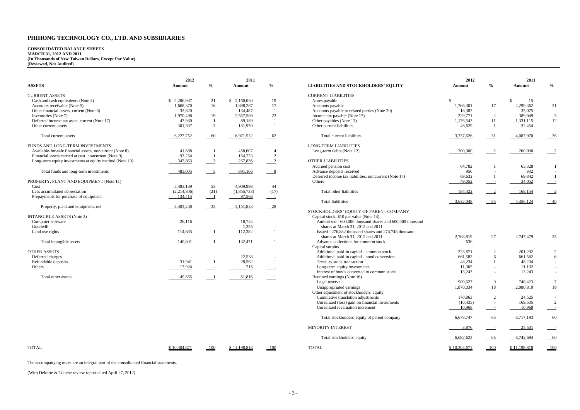#### **CONSOLIDATED BALANCE SHEETS MARCH 31, 2012 AND 2011 (In Thousands of New Taiwan Dollars, Except Par Value) (Reviewed, Not Audited)**

|                                                          | 2012<br>2011 |                           |             |                           |                                                           | 2012          | 2011                     |           |               |
|----------------------------------------------------------|--------------|---------------------------|-------------|---------------------------|-----------------------------------------------------------|---------------|--------------------------|-----------|---------------|
| <b>ASSETS</b>                                            | Amount       | $\frac{6}{6}$             | Amount      | $\frac{0}{0}$             | <b>LIABILITIES AND STOCKHOLDERS' EQUITY</b>               | Amount        | $\frac{0}{0}$            | Amount    | $\frac{0}{0}$ |
| <b>CURRENT ASSETS</b>                                    |              |                           |             |                           | <b>CURRENT LIABILITIES</b>                                |               |                          |           |               |
| Cash and cash equivalents (Note 4)                       | \$2,206,937  | 21                        | \$2,160,030 | 19                        | Notes payable                                             | $\mathcal{S}$ |                          | 15        |               |
| Accounts receivable (Note 5)                             | 1,668,370    | 16                        | 1,898,267   | 17                        | Accounts payable                                          | 1,766,301     | 17                       | 2,299,362 | 21            |
| Other financial assets, current (Note 6)                 | 32,620       | $\sim$                    | 134,487     |                           | Accounts payable to related parties (Note 20)             | 18,382        | $\overline{a}$           | 35,075    |               |
| Inventories (Note 7)                                     | 1,970,498    | 19                        | 2,557,589   | 23                        | Income tax payable (Note 17)                              | 229,771       | 2                        | 389,949   |               |
| Deferred income tax asset, current (Note 17)             | 47,930       |                           | 89,189      |                           | Other payables (Note 13)                                  | 1,176,543     | -11                      | 1,331,115 | 12            |
| Other current assets                                     | 301,397      | $\frac{3}{2}$             | 131,970     |                           | Other current liabilities                                 | 46,629        |                          | 32,454    |               |
| Total current assets                                     | 6,227,752    | $-60$                     | 6,971,532   | $-62$                     | Total current liabilities                                 | 3,237,626     | $-31$                    | 4,087,970 | 36            |
| FUNDS AND LONG-TERM INVESTMENTS                          |              |                           |             |                           | <b>LONG-TERM LIABILITIES</b>                              |               |                          |           |               |
| Available-for-sale financial assets, noncurrent (Note 8) | 41,888       |                           | 458,607     |                           | Long-term debts (Note 12)                                 | 200,000       | $\overline{2}$           | 200,000   |               |
| Financial assets carried at cost, noncurrent (Note 9)    | 93,254       |                           | 164,723     | 2                         |                                                           |               |                          |           |               |
| Long-term equity investments at equity method (Note 10)  | 347,863      | $\overline{\phantom{a}3}$ | 267,836     | $\overline{2}$            | <b>OTHER LIABILITIES</b>                                  |               |                          |           |               |
|                                                          |              |                           |             |                           | Accrued pension cost                                      | 64,782        |                          | 63,328    |               |
| Total funds and long-term investments                    | 483,005      | $\frac{5}{2}$             | 891,166     | $\overline{\phantom{0}8}$ | Advance deposits received                                 | 956           |                          | 932       |               |
|                                                          |              |                           |             |                           | Deferred income tax liabilities, noncurrent (Note 17)     | 69,632        |                          | 69,842    |               |
| PROPERTY, PLANT AND EQUIPMENT (Note 11)                  |              |                           |             |                           | <b>Others</b>                                             | 49,052        | $\sim$ $-$               | 34,052    |               |
| Cost                                                     | 5,483,139    | 53                        | 4.909.998   | 44                        |                                                           |               |                          |           |               |
| Less accumulated depreciation                            | (2,214,306)  | (21)                      | (1,855,733) | (17)                      | Total other liabilities                                   | 184,422       | $\sqrt{2}$               | 168,154   |               |
| Prepayments for purchase of equipment                    | 134,415      | $\overline{\phantom{0}}$  | 97,568      |                           |                                                           |               |                          |           |               |
|                                                          |              |                           |             |                           | <b>Total liabilities</b>                                  | 3,622,048     | $-35$                    | 4,456,124 |               |
| Property, plant and equipment, net                       | 3,403,248    | $\frac{33}{2}$            | 3,151,833   | $-28$                     |                                                           |               |                          |           |               |
|                                                          |              |                           |             |                           | STOCKHOLDERS' EQUITY OF PARENT COMPANY                    |               |                          |           |               |
| <b>INTANGIBLE ASSETS (Note 2)</b>                        |              |                           |             |                           | Capital stock, \$10 par value (Note 14)                   |               |                          |           |               |
| Computer software                                        | 26,116       |                           | 18,734      |                           | Authorized - 600,000 thousand shares and 600,000 thousand |               |                          |           |               |
| Goodwill                                                 |              |                           | 1,355       |                           | shares at March 31, 2012 and 2011                         |               |                          |           |               |
| Land use rights                                          | 114,685      |                           | 112,382     |                           | Issued - 276,882 thousand shares and 274,748 thousand     |               |                          |           |               |
|                                                          |              |                           |             |                           | shares at March 31, 2012 and 2011                         | 2,768,819     | $27\,$                   | 2,747,479 | 25            |
| Total intangible assets                                  | 140,801      |                           | 132,471     |                           | Advance collections for common stock                      | 636           |                          |           |               |
|                                                          |              |                           |             |                           | Capital surplus                                           |               |                          |           |               |
| <b>OTHER ASSETS</b>                                      |              |                           |             |                           | Additional paid-in capital - common stock                 | 223,871       | 2                        | 201,292   |               |
| Deferred charges                                         |              |                           | 22,538      |                           | Additional paid-in capital - bond conversion              | 661,582       | 6                        | 661,582   |               |
| Refundable deposits                                      | 31,941       | $\overline{1}$            | 28,562      |                           | Treasury stock transaction                                | 48,234        |                          | 48,234    |               |
| Others                                                   | 17,924       | $\sim$ $-$                | 716         | $\equiv$                  | Long-term equity investments                              | 11,305        | $\overline{\phantom{a}}$ | 11,132    |               |
|                                                          |              |                           |             |                           | Interest of bonds converted to common stock               | 13,243        | $\sim$                   | 13,243    |               |
| Total other assets                                       | 49,865       |                           | 51,816      |                           | Retained earnings (Note 16)                               |               |                          |           |               |
|                                                          |              |                           |             |                           | Legal reserve                                             | 909,627       | 9                        | 748,423   |               |
|                                                          |              |                           |             |                           | Unappropriated earnings                                   | 1,870,034     | 18                       | 2,080,810 | 18            |
|                                                          |              |                           |             |                           | Other adjustment of stockholders' equity                  |               |                          |           |               |
|                                                          |              |                           |             |                           | Cumulative translation adjustments                        | 170,863       | 2                        | 24,525    |               |
|                                                          |              |                           |             |                           | Unrealized (loss) gain on financial instruments           | (10, 435)     | $\sim$                   | 169,505   |               |

|                                                          | 2012         |                            | 2011         |                            |                                                                                   | 2012                           |                          | 2011         |                 |
|----------------------------------------------------------|--------------|----------------------------|--------------|----------------------------|-----------------------------------------------------------------------------------|--------------------------------|--------------------------|--------------|-----------------|
| <b>ASSETS</b>                                            | Amount       | $\frac{6}{6}$              | Amount       | $\frac{0}{0}$              | <b>LIABILITIES AND STOCKHOLDERS' EQUITY</b>                                       | Amount                         | $\frac{0}{0}$            | Amount       | $\frac{0}{0}$   |
| <b>CURRENT ASSETS</b>                                    |              |                            |              |                            | <b>CURRENT LIABILITIES</b>                                                        |                                |                          |              |                 |
| Cash and cash equivalents (Note 4)                       | \$2,206,937  | 21                         | \$2,160,030  | 19                         | Notes payable                                                                     | £.<br>$\overline{\phantom{a}}$ |                          | 15<br>-S     |                 |
| Accounts receivable (Note 5)                             | 1,668,370    | 16                         | 1,898,267    | 17                         | Accounts payable                                                                  | 1,766,301                      | 17                       | 2,299,362    | 21              |
| Other financial assets, current (Note 6)                 | 32,620       | $\overline{\phantom{0}}$   | 134,487      | $\overline{1}$             | Accounts payable to related parties (Note 20)                                     | 18,382                         |                          | 35,075       | $\sim$          |
| Inventories (Note 7)                                     | 1,970,498    | 19                         | 2,557,589    | 23                         | Income tax payable (Note 17)                                                      | 229,771                        | 2                        | 389,949      | $\mathfrak{Z}$  |
| Deferred income tax asset, current (Note 17)             | 47,930       |                            | 89,189       | $\overline{1}$             | Other payables (Note 13)                                                          | 1,176,543                      | 11                       | 1,331,115    | 12              |
| Other current assets                                     | 301,397      | $\overline{\phantom{0}3}$  | 131,970      |                            | Other current liabilities                                                         | 46,629                         | $\overline{\phantom{0}}$ | 32,454       |                 |
| Total current assets                                     | 6,227,752    | $-60$                      | 6,971,532    | $-62$                      | Total current liabilities                                                         | 3,237,626                      | $-31$                    | 4,087,970    | $-36$           |
| FUNDS AND LONG-TERM INVESTMENTS                          |              |                            |              |                            | <b>LONG-TERM LIABILITIES</b>                                                      |                                |                          |              |                 |
| Available-for-sale financial assets, noncurrent (Note 8) | 41,888       |                            | 458,607      | -4                         | Long-term debts (Note 12)                                                         | 200,000                        | $\sqrt{2}$               | 200,000      |                 |
| Financial assets carried at cost, noncurrent (Note 9)    | 93,254       |                            | 164,723      | 2                          |                                                                                   |                                |                          |              |                 |
| Long-term equity investments at equity method (Note 10)  | 347,863      | $^{\circ}$                 | 267,836      | $\frac{2}{2}$              | <b>OTHER LIABILITIES</b>                                                          |                                |                          |              |                 |
|                                                          |              |                            |              |                            | Accrued pension cost                                                              | 64,782                         |                          | 63,328       |                 |
| Total funds and long-term investments                    | 483,005      | $\overline{\phantom{0}}$ 5 | 891,166      | $\frac{8}{2}$              | Advance deposits received                                                         | 956                            |                          | 932          | $\sim$          |
|                                                          |              |                            |              |                            | Deferred income tax liabilities, noncurrent (Note 17)                             | 69,632                         |                          | 69,842       |                 |
| PROPERTY, PLANT AND EQUIPMENT (Note 11)                  |              |                            |              |                            | Others                                                                            | 49,052                         |                          | 34,052       |                 |
| Cost                                                     | 5,483,139    | 53                         | 4,909,998    | 44                         |                                                                                   |                                |                          |              |                 |
| Less accumulated depreciation                            | (2,214,306)  | (21)                       | (1,855,733)  | (17)                       | Total other liabilities                                                           | 184,422                        |                          | 168,154      |                 |
| Prepayments for purchase of equipment                    | 134,415      |                            | 97,568       |                            |                                                                                   |                                |                          |              |                 |
|                                                          |              |                            |              |                            | <b>Total liabilities</b>                                                          | 3,622,048                      | $\frac{35}{2}$           | 4,456,124    | $-40$           |
| Property, plant and equipment, net                       | 3,403,248    | $-33$                      | 3,151,833    | $-28$                      |                                                                                   |                                |                          |              |                 |
| <b>INTANGIBLE ASSETS (Note 2)</b>                        |              |                            |              |                            | STOCKHOLDERS' EQUITY OF PARENT COMPANY<br>Capital stock, \$10 par value (Note 14) |                                |                          |              |                 |
| Computer software                                        | 26,116       |                            | 18,734       |                            | Authorized - 600,000 thousand shares and 600,000 thousand                         |                                |                          |              |                 |
| Goodwill                                                 |              |                            | 1,355        |                            | shares at March 31, 2012 and 2011                                                 |                                |                          |              |                 |
| Land use rights                                          | 114,685      |                            | 112,382      | $\blacksquare$             | Issued - 276,882 thousand shares and 274,748 thousand                             |                                |                          |              |                 |
|                                                          |              |                            |              |                            | shares at March 31, 2012 and 2011                                                 | 2,768,819                      | 27                       | 2,747,479    | 25              |
| Total intangible assets                                  | 140,801      |                            | 132,471      |                            | Advance collections for common stock                                              | 636                            |                          |              | $-$             |
|                                                          |              |                            |              |                            | Capital surplus                                                                   |                                |                          |              |                 |
| <b>OTHER ASSETS</b>                                      |              |                            |              |                            | Additional paid-in capital - common stock                                         | 223,871                        | 2                        | 201,292      | $\overline{c}$  |
| Deferred charges                                         |              |                            | 22,538       |                            | Additional paid-in capital - bond conversion                                      | 661,582                        | 6                        | 661,582      | 6               |
| Refundable deposits                                      | 31,941       |                            | 28,562       |                            | Treasury stock transaction                                                        | 48,234                         |                          | 48,234       |                 |
| Others                                                   | 17,924       |                            | 716          |                            |                                                                                   | 11,305                         |                          | 11,132       | $\sim$          |
|                                                          |              | $\overline{\phantom{a}}$   |              | $\sim$                     | Long-term equity investments                                                      |                                | $\overline{\phantom{0}}$ |              |                 |
| Total other assets                                       |              |                            |              |                            | Interest of bonds converted to common stock                                       | 13,243                         | $\overline{\phantom{0}}$ | 13,243       | $\sim$          |
|                                                          | 49,865       |                            | 51,816       | $\overline{\phantom{0}}$ 1 | Retained earnings (Note 16)                                                       |                                |                          |              |                 |
|                                                          |              |                            |              |                            | Legal reserve                                                                     | 909,627                        | -9                       | 748,423      | $7\phantom{.0}$ |
|                                                          |              |                            |              |                            | Unappropriated earnings                                                           | 1,870,034                      | 18                       | 2,080,810    | 18              |
|                                                          |              |                            |              |                            | Other adjustment of stockholders' equity                                          |                                |                          |              |                 |
|                                                          |              |                            |              |                            | Cumulative translation adjustments                                                | 170,863                        | 2                        | 24,525       |                 |
|                                                          |              |                            |              |                            | Unrealized (loss) gain on financial instruments                                   | (10, 435)                      |                          | 169,505      | 2               |
|                                                          |              |                            |              |                            | Unrealized revaluation increment                                                  | 10,968                         |                          | 10,968       |                 |
|                                                          |              |                            |              |                            | Total stockholders' equity of parent company                                      | 6,678,747                      | 65                       | 6,717,193    | 60              |
|                                                          |              |                            |              |                            | MINORITY INTEREST                                                                 | 3,876                          | $\equiv$                 | 25,501       |                 |
|                                                          |              |                            |              |                            | Total stockholders' equity                                                        | 6,682,623                      | $-65$                    | 6,742,694    | $-60$           |
| <b>TOTAL</b>                                             | \$10,304,671 | $-100$                     | \$11,198,818 | $-100$                     | <b>TOTAL</b>                                                                      | \$10,304,671                   | 100                      | \$11,198,818 | $-100$          |

The accompanying notes are an integral part of the consolidated financial statements.

(With Deloitte & Touche review report dated April 27, 2012)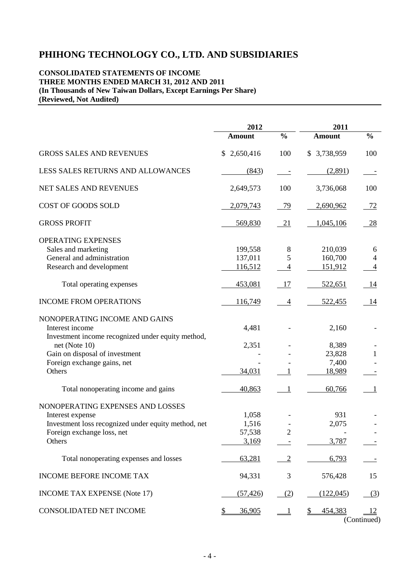### **CONSOLIDATED STATEMENTS OF INCOME THREE MONTHS ENDED MARCH 31, 2012 AND 2011 (In Thousands of New Taiwan Dollars, Except Earnings Per Share) (Reviewed, Not Audited)**

|                                                                                                                                                     | 2012                              |                | 2011                               |                          |  |  |
|-----------------------------------------------------------------------------------------------------------------------------------------------------|-----------------------------------|----------------|------------------------------------|--------------------------|--|--|
|                                                                                                                                                     | <b>Amount</b>                     | $\frac{0}{0}$  | <b>Amount</b>                      | $\frac{0}{0}$            |  |  |
| <b>GROSS SALES AND REVENUES</b>                                                                                                                     | 2,650,416<br>\$                   | 100            | \$3,738,959                        | 100                      |  |  |
| LESS SALES RETURNS AND ALLOWANCES                                                                                                                   | (843)                             |                | (2,891)                            |                          |  |  |
| NET SALES AND REVENUES                                                                                                                              | 2,649,573                         | 100            | 3,736,068                          | 100                      |  |  |
| COST OF GOODS SOLD                                                                                                                                  | 2,079,743                         | 79             | 2,690,962                          | 72                       |  |  |
| <b>GROSS PROFIT</b>                                                                                                                                 | 569,830                           | 21             | 1,045,106                          | 28                       |  |  |
| OPERATING EXPENSES<br>Sales and marketing<br>General and administration<br>Research and development                                                 | 199,558<br>137,011<br>116,512     | 8<br>5<br>4    | 210,039<br>160,700<br>151,912      | 6<br>4<br>$\overline{4}$ |  |  |
| Total operating expenses                                                                                                                            | 453,081                           | 17             | 522,651                            | 14                       |  |  |
| <b>INCOME FROM OPERATIONS</b>                                                                                                                       | 116,749                           | $\overline{4}$ | 522,455                            | 14                       |  |  |
| NONOPERATING INCOME AND GAINS<br>Interest income<br>Investment income recognized under equity method,                                               | 4,481                             |                | 2,160                              |                          |  |  |
| net (Note $10$ )<br>Gain on disposal of investment<br>Foreign exchange gains, net<br>Others                                                         | 2,351<br>34,031                   |                | 8,389<br>23,828<br>7,400<br>18,989 | 1                        |  |  |
| Total nonoperating income and gains                                                                                                                 | 40,863                            | 1              | 60,766                             | 1                        |  |  |
| NONOPERATING EXPENSES AND LOSSES<br>Interest expense<br>Investment loss recognized under equity method, net<br>Foreign exchange loss, net<br>Others | 1,058<br>1,516<br>57,538<br>3,169 |                | 931<br>2,075<br>3,787              |                          |  |  |
| Total nonoperating expenses and losses                                                                                                              | 63,281                            | $\overline{2}$ | 6,793                              |                          |  |  |
| <b>INCOME BEFORE INCOME TAX</b>                                                                                                                     | 94,331                            | 3              | 576,428                            | 15                       |  |  |
| <b>INCOME TAX EXPENSE (Note 17)</b>                                                                                                                 | (57, 426)                         | (2)            | (122, 045)                         | (3)                      |  |  |
| CONSOLIDATED NET INCOME                                                                                                                             | 36,905<br>S                       |                | 454,383                            | <u>12</u><br>(Continued) |  |  |

(Continued)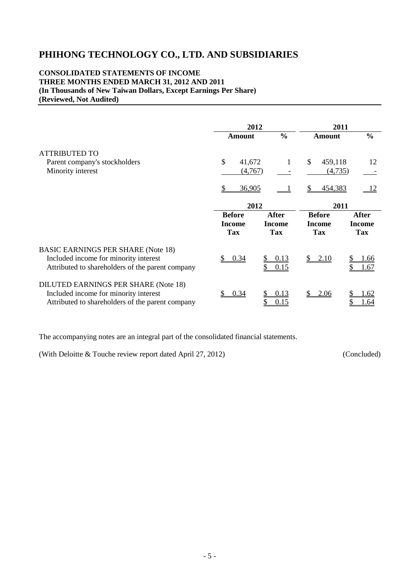### **CONSOLIDATED STATEMENTS OF INCOME THREE MONTHS ENDED MARCH 31, 2012 AND 2011 (In Thousands of New Taiwan Dollars, Except Earnings Per Share) (Reviewed, Not Audited)**

|                                                                                                                                        | 2012                                         |                                             |                                              | 2011                                 |
|----------------------------------------------------------------------------------------------------------------------------------------|----------------------------------------------|---------------------------------------------|----------------------------------------------|--------------------------------------|
|                                                                                                                                        | <b>Amount</b>                                | $\frac{0}{0}$                               | <b>Amount</b>                                | $\frac{0}{0}$                        |
| <b>ATTRIBUTED TO</b><br>Parent company's stockholders                                                                                  | \$<br>41,672                                 | 1                                           | $\mathbb{S}$<br>459,118                      | 12                                   |
| Minority interest                                                                                                                      | (4,767)                                      |                                             | (4,735)                                      |                                      |
|                                                                                                                                        | 36,905                                       |                                             | 454,383                                      | <sup>12</sup>                        |
|                                                                                                                                        | 2012                                         |                                             |                                              | 2011                                 |
|                                                                                                                                        | <b>Before</b><br><b>Income</b><br><b>Tax</b> | <b>After</b><br><b>Income</b><br><b>Tax</b> | <b>Before</b><br><b>Income</b><br><b>Tax</b> | <b>After</b><br>Income<br><b>Tax</b> |
| <b>BASIC EARNINGS PER SHARE (Note 18)</b><br>Included income for minority interest<br>Attributed to shareholders of the parent company | 0.34                                         | 0.13<br>0.15                                | \$2.10                                       | <u>1.66</u><br>1.67                  |
| DILUTED EARNINGS PER SHARE (Note 18)<br>Included income for minority interest<br>Attributed to shareholders of the parent company      | 0.34                                         | 0.13<br>0.15                                | 2.06                                         | .62<br>.64                           |

The accompanying notes are an integral part of the consolidated financial statements.

(With Deloitte & Touche review report dated April 27, 2012) (Concluded)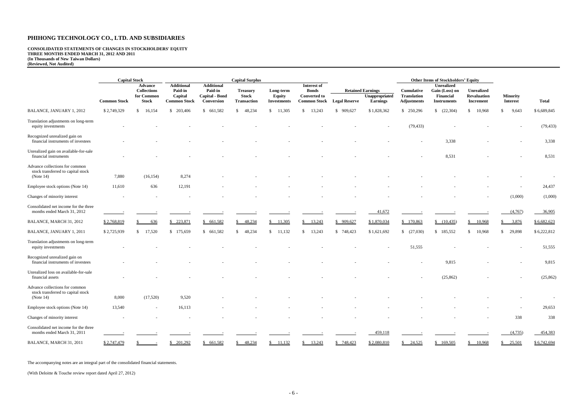**CONSOLIDATED STATEMENTS OF CHANGES IN STOCKHOLDERS' EQUITY THREE MONTHS ENDED MARCH 31, 2012 AND 2011 (In Thousands of New Taiwan Dollars) (Reviewed, Not Audited)**

|                                                                                      |                     | <b>Capital Stock</b>                                               |                                                                |                                                              | <b>Capital Surplus</b>                                |                                           |                                                                           |                      |                                                               |                                                               | <b>Other Items of Stockholders' Equity</b>                      |                                                      |                                    |                          |
|--------------------------------------------------------------------------------------|---------------------|--------------------------------------------------------------------|----------------------------------------------------------------|--------------------------------------------------------------|-------------------------------------------------------|-------------------------------------------|---------------------------------------------------------------------------|----------------------|---------------------------------------------------------------|---------------------------------------------------------------|-----------------------------------------------------------------|------------------------------------------------------|------------------------------------|--------------------------|
|                                                                                      | <b>Common Stock</b> | <b>Advance</b><br><b>Collections</b><br>for Common<br><b>Stock</b> | <b>Additional</b><br>Paid-in<br>Capital<br><b>Common Stock</b> | <b>Additional</b><br>Paid-in<br>Capital - Bond<br>Conversion | <b>Treasury</b><br><b>Stock</b><br><b>Transaction</b> | Long-term<br>Equity<br><b>Investments</b> | Interest of<br><b>Bonds</b><br><b>Converted to</b><br><b>Common Stock</b> | <b>Legal Reserve</b> | <b>Retained Earnings</b><br>Unappropriated<br><b>Earnings</b> | <b>Cumulative</b><br><b>Translation</b><br><b>Adjustments</b> | Unrealized<br>Gain (Loss) on<br>Financial<br><b>Instruments</b> | <b>Unrealized</b><br>Revaluation<br><b>Increment</b> | <b>Minority</b><br><b>Interest</b> | <b>Total</b>             |
| <b>BALANCE, JANUARY 1, 2012</b>                                                      | \$2,749,329         | \$<br>16,154                                                       | \$203,406                                                      | \$ 661,582                                                   | 48,234<br>$\mathbb{S}^-$                              | 11,305<br><sup>S</sup>                    | 13,243<br>$\mathbb{S}$                                                    | \$909,627            | \$1,828,362                                                   | \$250,296                                                     | (22,304)                                                        | 10,968<br>\$                                         | $\mathbb{S}$<br>9,643              | \$6,689,845              |
| Translation adjustments on long-term                                                 |                     |                                                                    |                                                                |                                                              |                                                       |                                           |                                                                           |                      |                                                               |                                                               |                                                                 |                                                      |                                    |                          |
| equity investments                                                                   |                     |                                                                    |                                                                |                                                              |                                                       |                                           |                                                                           |                      |                                                               | (79, 433)                                                     |                                                                 |                                                      |                                    | (79, 433)                |
| Recognized unrealized gain on<br>financial instruments of investees                  |                     |                                                                    |                                                                |                                                              |                                                       |                                           |                                                                           |                      |                                                               |                                                               | 3,338                                                           |                                                      |                                    | 3,338                    |
| Unrealized gain on available-for-sale<br>financial instruments                       |                     |                                                                    |                                                                |                                                              |                                                       |                                           |                                                                           |                      |                                                               |                                                               | 8,531                                                           |                                                      |                                    | 8,531                    |
| Advance collections for common<br>stock transferred to capital stock<br>(Note $14$ ) | 7,880               | (16, 154)                                                          | 8,274                                                          |                                                              |                                                       |                                           |                                                                           |                      |                                                               |                                                               |                                                                 |                                                      |                                    |                          |
| Employee stock options (Note 14)                                                     | 11,610              | 636                                                                | 12,191                                                         |                                                              |                                                       |                                           |                                                                           |                      |                                                               |                                                               |                                                                 |                                                      |                                    | 24,437                   |
| Changes of minority interest                                                         |                     |                                                                    |                                                                |                                                              |                                                       |                                           |                                                                           |                      |                                                               |                                                               |                                                                 |                                                      | (1,000)                            | (1,000)                  |
| Consolidated net income for the three<br>months ended March 31, 2012                 |                     |                                                                    |                                                                |                                                              |                                                       |                                           |                                                                           |                      | 41,672                                                        |                                                               |                                                                 |                                                      | (4,767)                            | 36,905                   |
| BALANCE, MARCH 31, 2012                                                              | \$2,768,819         | 636<br>S                                                           | 223,871                                                        | \$661,582                                                    | 48,234<br>\$                                          | 11,305                                    | \$13,243                                                                  | \$909,627            | \$1,870,034                                                   | \$170,863                                                     | (10, 435)                                                       | 10,968<br>\$                                         | 3,876<br>$\mathbb{S}$              | \$6,682,623              |
| BALANCE, JANUARY 1, 2011                                                             | \$2,725,939         | 17,520<br>$\mathbb{S}$                                             | \$175,659                                                      | \$ 661,582                                                   | 48,234<br>\$                                          | 11,132<br>\$                              | $\mathbb{S}$<br>13,243                                                    | \$748,423            | \$1,621,692                                                   | (27,030)                                                      | \$ 185,552                                                      | 10,968<br>\$                                         | $\mathbb{S}$<br>29,898             | \$6,222,812              |
| Translation adjustments on long-term<br>equity investments                           |                     |                                                                    |                                                                |                                                              |                                                       |                                           |                                                                           |                      |                                                               | 51,555                                                        |                                                                 |                                                      |                                    | 51,555                   |
| Recognized unrealized gain on<br>financial instruments of investees                  |                     |                                                                    |                                                                |                                                              |                                                       |                                           |                                                                           |                      |                                                               |                                                               | 9,815                                                           |                                                      |                                    | 9,815                    |
| Unrealized loss on available-for-sale<br>financial assets                            |                     |                                                                    |                                                                |                                                              |                                                       |                                           |                                                                           |                      |                                                               |                                                               | (25, 862)                                                       |                                                      |                                    | (25, 862)                |
| Advance collections for common<br>stock transferred to capital stock<br>(Note $14$ ) | 8,000               | (17,520)                                                           | 9,520                                                          |                                                              |                                                       |                                           |                                                                           |                      |                                                               |                                                               |                                                                 |                                                      |                                    | $\overline{\phantom{a}}$ |
| Employee stock options (Note 14)                                                     | 13,540              | $\sim$                                                             | 16,113                                                         |                                                              |                                                       |                                           |                                                                           |                      |                                                               |                                                               |                                                                 |                                                      | $\overline{\phantom{a}}$           | 29,653                   |
| Changes of minority interest                                                         |                     |                                                                    |                                                                |                                                              |                                                       |                                           |                                                                           |                      |                                                               |                                                               |                                                                 |                                                      | 338                                | 338                      |
| Consolidated net income for the three<br>months ended March 31, 2011                 |                     |                                                                    |                                                                |                                                              |                                                       |                                           |                                                                           |                      | 459,118                                                       |                                                               |                                                                 |                                                      | (4,735)                            | 454,383                  |
| BALANCE, MARCH 31, 2011                                                              | \$2,747,479         |                                                                    | \$201,292                                                      | \$661,582                                                    | \$48,234                                              | $\frac{$11,132}$                          | $\frac{$13,243}{}$                                                        | \$748,423            | \$2,080,810                                                   | $\frac{$24,525}{}$                                            | \$169,505                                                       | 10,968<br>$\mathbb{S}^-$                             | $\frac{$25,501}{}$                 | \$6,742,694              |

The accompanying notes are an integral part of the consolidated financial statements.

(With Deloitte & Touche review report dated April 27, 2012)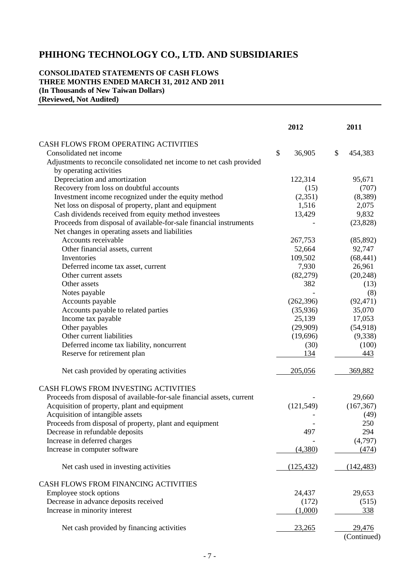### **CONSOLIDATED STATEMENTS OF CASH FLOWS THREE MONTHS ENDED MARCH 31, 2012 AND 2011 (In Thousands of New Taiwan Dollars) (Reviewed, Not Audited)**

|                                                                        | 2012         | 2011          |
|------------------------------------------------------------------------|--------------|---------------|
| CASH FLOWS FROM OPERATING ACTIVITIES                                   |              |               |
| Consolidated net income                                                | \$<br>36,905 | \$<br>454,383 |
| Adjustments to reconcile consolidated net income to net cash provided  |              |               |
| by operating activities                                                |              |               |
| Depreciation and amortization                                          | 122,314      | 95,671        |
| Recovery from loss on doubtful accounts                                | (15)         | (707)         |
| Investment income recognized under the equity method                   | (2,351)      | (8,389)       |
| Net loss on disposal of property, plant and equipment                  | 1,516        | 2,075         |
| Cash dividends received from equity method investees                   | 13,429       | 9,832         |
| Proceeds from disposal of available-for-sale financial instruments     |              | (23, 828)     |
| Net changes in operating assets and liabilities                        |              |               |
| Accounts receivable                                                    | 267,753      | (85, 892)     |
| Other financial assets, current                                        | 52,664       | 92,747        |
| Inventories                                                            | 109,502      | (68, 441)     |
| Deferred income tax asset, current                                     | 7,930        | 26,961        |
| Other current assets                                                   | (82,279)     | (20, 248)     |
| Other assets                                                           | 382          | (13)          |
| Notes payable                                                          |              | (8)           |
| Accounts payable                                                       | (262, 396)   | (92, 471)     |
| Accounts payable to related parties                                    | (35,936)     | 35,070        |
| Income tax payable                                                     | 25,139       | 17,053        |
| Other payables                                                         | (29,909)     | (54, 918)     |
| Other current liabilities                                              | (19,696)     | (9,338)       |
| Deferred income tax liability, noncurrent                              | (30)         | (100)         |
| Reserve for retirement plan                                            | 134          | 443           |
| Net cash provided by operating activities                              | 205,056      | 369,882       |
| CASH FLOWS FROM INVESTING ACTIVITIES                                   |              |               |
| Proceeds from disposal of available-for-sale financial assets, current |              | 29,660        |
| Acquisition of property, plant and equipment                           | (121, 549)   | (167, 367)    |
| Acquisition of intangible assets                                       |              | (49)          |
| Proceeds from disposal of property, plant and equipment                |              | 250           |
| Decrease in refundable deposits                                        | 497          | 294           |
| Increase in deferred charges                                           |              | (4,797)       |
| Increase in computer software                                          | (4,380)      | (474)         |
| Net cash used in investing activities                                  | (125, 432)   | (142, 483)    |
| CASH FLOWS FROM FINANCING ACTIVITIES                                   |              |               |
| Employee stock options                                                 | 24,437       | 29,653        |
| Decrease in advance deposits received                                  | (172)        | (515)         |
| Increase in minority interest                                          | (1,000)      | <u>338</u>    |
| Net cash provided by financing activities                              | 23,265       | 29,476        |
|                                                                        |              | (Continued)   |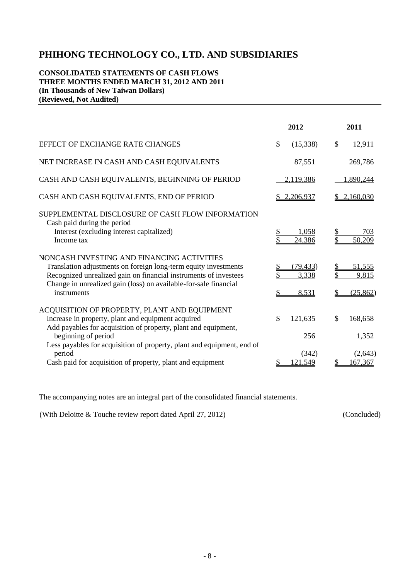### **CONSOLIDATED STATEMENTS OF CASH FLOWS THREE MONTHS ENDED MARCH 31, 2012 AND 2011 (In Thousands of New Taiwan Dollars) (Reviewed, Not Audited)**

|                                                                                                                                                                                                                                                                      | 2012                        | 2011                               |
|----------------------------------------------------------------------------------------------------------------------------------------------------------------------------------------------------------------------------------------------------------------------|-----------------------------|------------------------------------|
| EFFECT OF EXCHANGE RATE CHANGES                                                                                                                                                                                                                                      | \$<br>(15,338)              | \$<br>12,911                       |
| NET INCREASE IN CASH AND CASH EQUIVALENTS                                                                                                                                                                                                                            | 87,551                      | 269,786                            |
| CASH AND CASH EQUIVALENTS, BEGINNING OF PERIOD                                                                                                                                                                                                                       | 2,119,386                   | 1,890,244                          |
| CASH AND CASH EQUIVALENTS, END OF PERIOD                                                                                                                                                                                                                             | \$2,206,937                 | \$2,160,030                        |
| SUPPLEMENTAL DISCLOSURE OF CASH FLOW INFORMATION<br>Cash paid during the period<br>Interest (excluding interest capitalized)<br>Income tax                                                                                                                           | 1,058<br>24,386             | 703<br>\$<br>50,209                |
| NONCASH INVESTING AND FINANCING ACTIVITIES<br>Translation adjustments on foreign long-term equity investments<br>Recognized unrealized gain on financial instruments of investees<br>Change in unrealized gain (loss) on available-for-sale financial<br>instruments | (79, 433)<br>3,338<br>8,531 | 51,555<br>\$<br>9,815<br>(25, 862) |
| ACQUISITION OF PROPERTY, PLANT AND EQUIPMENT<br>Increase in property, plant and equipment acquired<br>Add payables for acquisition of property, plant and equipment,<br>beginning of period                                                                          | \$<br>121,635<br>256        | \$<br>168,658<br>1,352             |
| Less payables for acquisition of property, plant and equipment, end of<br>period<br>Cash paid for acquisition of property, plant and equipment                                                                                                                       | (342)<br>121,549            | (2, 643)<br>167,367                |

The accompanying notes are an integral part of the consolidated financial statements.

(With Deloitte & Touche review report dated April 27, 2012) (Concluded)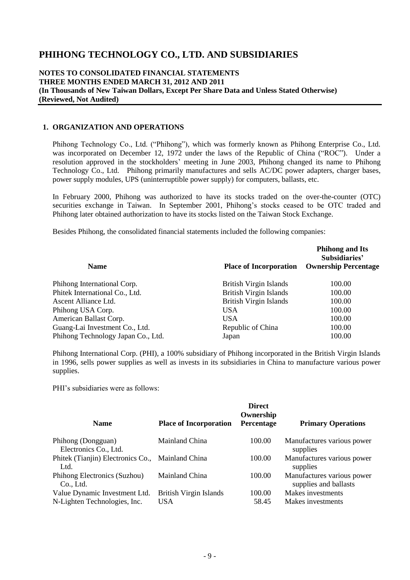#### **NOTES TO CONSOLIDATED FINANCIAL STATEMENTS THREE MONTHS ENDED MARCH 31, 2012 AND 2011 (In Thousands of New Taiwan Dollars, Except Per Share Data and Unless Stated Otherwise) (Reviewed, Not Audited)**

#### **1. ORGANIZATION AND OPERATIONS**

Phihong Technology Co., Ltd. ("Phihong"), which was formerly known as Phihong Enterprise Co., Ltd. was incorporated on December 12, 1972 under the laws of the Republic of China ("ROC"). Under a resolution approved in the stockholders' meeting in June 2003, Phihong changed its name to Phihong Technology Co., Ltd. Phihong primarily manufactures and sells AC/DC power adapters, charger bases, power supply modules, UPS (uninterruptible power supply) for computers, ballasts, etc.

In February 2000, Phihong was authorized to have its stocks traded on the over-the-counter (OTC) securities exchange in Taiwan. In September 2001, Phihong's stocks ceased to be OTC traded and Phihong later obtained authorization to have its stocks listed on the Taiwan Stock Exchange.

Besides Phihong, the consolidated financial statements included the following companies:

|                                    |                               | <b>Phihong and Its</b><br>Subsidiaries' |
|------------------------------------|-------------------------------|-----------------------------------------|
| <b>Name</b>                        | <b>Place of Incorporation</b> | <b>Ownership Percentage</b>             |
| Phihong International Corp.        | <b>British Virgin Islands</b> | 100.00                                  |
| Phitek International Co., Ltd.     | <b>British Virgin Islands</b> | 100.00                                  |
| Ascent Alliance Ltd.               | <b>British Virgin Islands</b> | 100.00                                  |
| Phihong USA Corp.                  | USA.                          | 100.00                                  |
| American Ballast Corp.             | USA.                          | 100.00                                  |
| Guang-Lai Investment Co., Ltd.     | Republic of China             | 100.00                                  |
| Phihong Technology Japan Co., Ltd. | Japan                         | 100.00                                  |

Phihong International Corp. (PHI), a 100% subsidiary of Phihong incorporated in the British Virgin Islands in 1996, sells power supplies as well as invests in its subsidiaries in China to manufacture various power supplies.

PHI's subsidiaries were as follows:

| <b>Name</b>                                                   | <b>Place of Incorporation</b>               | <b>Direct</b><br>Ownership<br>Percentage | <b>Primary Operations</b>                           |
|---------------------------------------------------------------|---------------------------------------------|------------------------------------------|-----------------------------------------------------|
| Phihong (Dongguan)<br>Electronics Co., Ltd.                   | Mainland China                              | 100.00                                   | Manufactures various power<br>supplies              |
| Phitek (Tianjin) Electronics Co., Mainland China<br>Ltd.      |                                             | 100.00                                   | Manufactures various power<br>supplies              |
| Phihong Electronics (Suzhou)<br>Co., Ltd.                     | Mainland China                              | 100.00                                   | Manufactures various power<br>supplies and ballasts |
| Value Dynamic Investment Ltd.<br>N-Lighten Technologies, Inc. | <b>British Virgin Islands</b><br><b>USA</b> | 100.00<br>58.45                          | Makes investments<br>Makes investments              |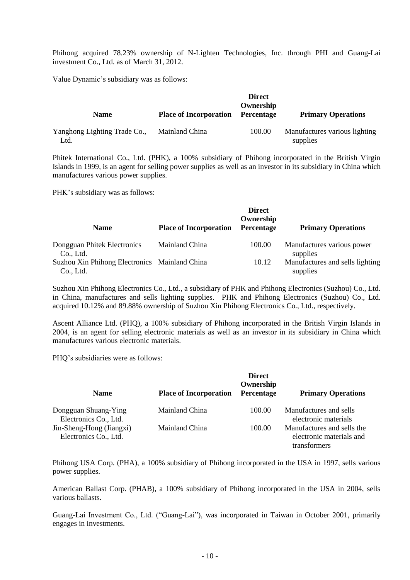Phihong acquired 78.23% ownership of N-Lighten Technologies, Inc. through PHI and Guang-Lai investment Co., Ltd. as of March 31, 2012.

Value Dynamic's subsidiary was as follows:

| <b>Name</b>                          | <b>Place of Incorporation</b> | <b>Direct</b><br>Ownership<br>Percentage | <b>Primary Operations</b>                 |
|--------------------------------------|-------------------------------|------------------------------------------|-------------------------------------------|
| Yanghong Lighting Trade Co.,<br>Ltd. | Mainland China                | 100.00                                   | Manufactures various lighting<br>supplies |

Phitek International Co., Ltd. (PHK), a 100% subsidiary of Phihong incorporated in the British Virgin Islands in 1999, is an agent for selling power supplies as well as an investor in its subsidiary in China which manufactures various power supplies.

PHK's subsidiary was as follows:

|                                                            |                               | <b>Direct</b><br>Ownership |                                             |
|------------------------------------------------------------|-------------------------------|----------------------------|---------------------------------------------|
| <b>Name</b>                                                | <b>Place of Incorporation</b> | Percentage                 | <b>Primary Operations</b>                   |
| Dongguan Phitek Electronics<br>Co., Ltd.                   | Mainland China                | 100.00                     | Manufactures various power<br>supplies      |
| Suzhou Xin Phihong Electronics Mainland China<br>Co., Ltd. |                               | 10.12                      | Manufactures and sells lighting<br>supplies |

Suzhou Xin Phihong Electronics Co., Ltd., a subsidiary of PHK and Phihong Electronics (Suzhou) Co., Ltd. in China, manufactures and sells lighting supplies. PHK and Phihong Electronics (Suzhou) Co., Ltd. acquired 10.12% and 89.88% ownership of Suzhou Xin Phihong Electronics Co., Ltd., respectively.

Ascent Alliance Ltd. (PHQ), a 100% subsidiary of Phihong incorporated in the British Virgin Islands in 2004, is an agent for selling electronic materials as well as an investor in its subsidiary in China which manufactures various electronic materials.

PHQ's subsidiaries were as follows:

| <b>Name</b>                                       | <b>Place of Incorporation</b> | <b>Direct</b><br>Ownership<br>Percentage | <b>Primary Operations</b>                                              |
|---------------------------------------------------|-------------------------------|------------------------------------------|------------------------------------------------------------------------|
| Dongguan Shuang-Ying<br>Electronics Co., Ltd.     | Mainland China                | 100.00                                   | Manufactures and sells<br>electronic materials                         |
| Jin-Sheng-Hong (Jiangxi)<br>Electronics Co., Ltd. | Mainland China                | 100.00                                   | Manufactures and sells the<br>electronic materials and<br>transformers |

Phihong USA Corp. (PHA), a 100% subsidiary of Phihong incorporated in the USA in 1997, sells various power supplies.

American Ballast Corp. (PHAB), a 100% subsidiary of Phihong incorporated in the USA in 2004, sells various ballasts.

Guang-Lai Investment Co., Ltd. ("Guang-Lai"), was incorporated in Taiwan in October 2001, primarily engages in investments.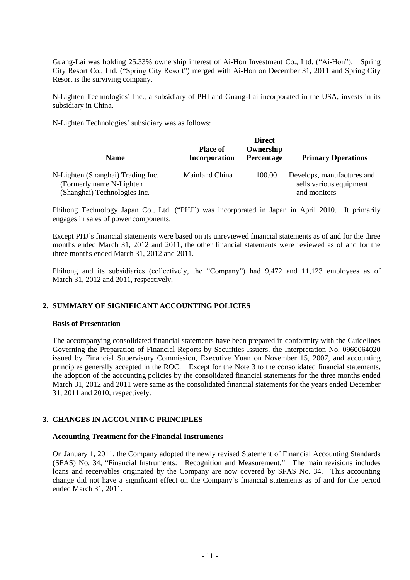Guang-Lai was holding 25.33% ownership interest of Ai-Hon Investment Co., Ltd. ("Ai-Hon"). Spring City Resort Co., Ltd. ("Spring City Resort") merged with Ai-Hon on December 31, 2011 and Spring City Resort is the surviving company.

N-Lighten Technologies' Inc., a subsidiary of PHI and Guang-Lai incorporated in the USA, invests in its subsidiary in China.

N-Lighten Technologies' subsidiary was as follows:

|                                                           |                                  | <b>Direct</b>           |                                         |
|-----------------------------------------------------------|----------------------------------|-------------------------|-----------------------------------------|
| <b>Name</b>                                               | <b>Place of</b><br>Incorporation | Ownership<br>Percentage | <b>Primary Operations</b>               |
| N-Lighten (Shanghai) Trading Inc.                         | Mainland China                   | 100.00                  | Develops, manufactures and              |
| (Formerly name N-Lighten)<br>(Shanghai) Technologies Inc. |                                  |                         | sells various equipment<br>and monitors |

Phihong Technology Japan Co., Ltd. ("PHJ") was incorporated in Japan in April 2010. It primarily engages in sales of power components.

Except PHJ's financial statements were based on its unreviewed financial statements as of and for the three months ended March 31, 2012 and 2011, the other financial statements were reviewed as of and for the three months ended March 31, 2012 and 2011.

Phihong and its subsidiaries (collectively, the "Company") had 9,472 and 11,123 employees as of March 31, 2012 and 2011, respectively.

#### **2. SUMMARY OF SIGNIFICANT ACCOUNTING POLICIES**

#### **Basis of Presentation**

The accompanying consolidated financial statements have been prepared in conformity with the Guidelines Governing the Preparation of Financial Reports by Securities Issuers, the Interpretation No. 0960064020 issued by Financial Supervisory Commission, Executive Yuan on November 15, 2007, and accounting principles generally accepted in the ROC. Except for the Note 3 to the consolidated financial statements, the adoption of the accounting policies by the consolidated financial statements for the three months ended March 31, 2012 and 2011 were same as the consolidated financial statements for the years ended December 31, 2011 and 2010, respectively.

#### **3. CHANGES IN ACCOUNTING PRINCIPLES**

#### **Accounting Treatment for the Financial Instruments**

On January 1, 2011, the Company adopted the newly revised Statement of Financial Accounting Standards (SFAS) No. 34, "Financial Instruments: Recognition and Measurement." The main revisions includes loans and receivables originated by the Company are now covered by SFAS No. 34. This accounting change did not have a significant effect on the Company's financial statements as of and for the period ended March 31, 2011.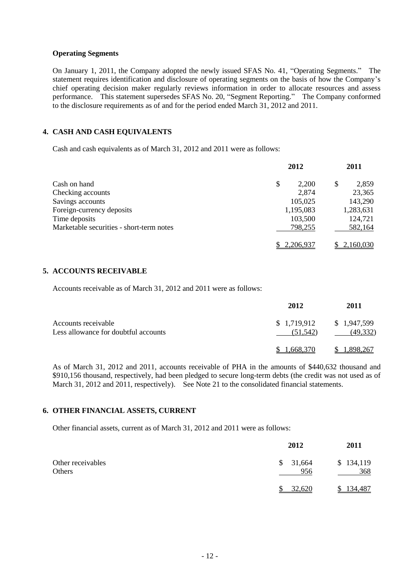#### **Operating Segments**

On January 1, 2011, the Company adopted the newly issued SFAS No. 41, "Operating Segments." The statement requires identification and disclosure of operating segments on the basis of how the Company's chief operating decision maker regularly reviews information in order to allocate resources and assess performance. This statement supersedes SFAS No. 20, "Segment Reporting." The Company conformed to the disclosure requirements as of and for the period ended March 31, 2012 and 2011.

# **4. CASH AND CASH EQUIVALENTS**

Cash and cash equivalents as of March 31, 2012 and 2011 were as follows:

|                                          | 2012        | 2011        |
|------------------------------------------|-------------|-------------|
| Cash on hand                             | \$<br>2,200 | 2,859<br>\$ |
| Checking accounts                        | 2,874       | 23,365      |
| Savings accounts                         | 105,025     | 143,290     |
| Foreign-currency deposits                | 1,195,083   | 1,283,631   |
| Time deposits                            | 103,500     | 124,721     |
| Marketable securities - short-term notes | 798,255     | 582,164     |
|                                          | 2,206,937   | 2,160,030   |

#### **5. ACCOUNTS RECEIVABLE**

Accounts receivable as of March 31, 2012 and 2011 were as follows:

|                                                             | 2012                    | 2011                     |
|-------------------------------------------------------------|-------------------------|--------------------------|
| Accounts receivable<br>Less allowance for doubtful accounts | \$1,719,912<br>(51.542) | \$1,947,599<br>(49, 332) |
|                                                             | 1.668.370               | 1.898.267                |

As of March 31, 2012 and 2011, accounts receivable of PHA in the amounts of \$440,632 thousand and \$910,156 thousand, respectively, had been pledged to secure long-term debts (the credit was not used as of March 31, 2012 and 2011, respectively). See Note 21 to the consolidated financial statements.

## **6. OTHER FINANCIAL ASSETS, CURRENT**

Other financial assets, current as of March 31, 2012 and 2011 were as follows:

|                             | 2012            | 2011             |
|-----------------------------|-----------------|------------------|
| Other receivables<br>Others | \$31,664<br>956 | \$134,119<br>368 |
|                             | 32,620          | 134,487          |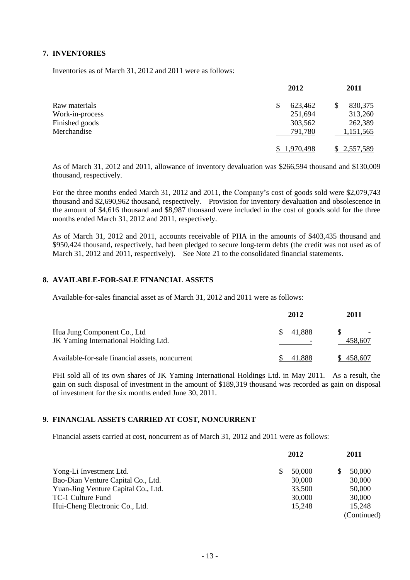### **7. INVENTORIES**

Inventories as of March 31, 2012 and 2011 were as follows:

|                 | 2012         | 2011        |
|-----------------|--------------|-------------|
| Raw materials   | 623,462<br>S | 830,375     |
| Work-in-process | 251,694      | 313,260     |
| Finished goods  | 303,562      | 262,389     |
| Merchandise     | 791,780      | 1,151,565   |
|                 | 1.970.498    | \$2,557,589 |

As of March 31, 2012 and 2011, allowance of inventory devaluation was \$266,594 thousand and \$130,009 thousand, respectively.

For the three months ended March 31, 2012 and 2011, the Company's cost of goods sold were \$2,079,743 thousand and \$2,690,962 thousand, respectively. Provision for inventory devaluation and obsolescence in the amount of \$4,616 thousand and \$8,987 thousand were included in the cost of goods sold for the three months ended March 31, 2012 and 2011, respectively.

As of March 31, 2012 and 2011, accounts receivable of PHA in the amounts of \$403,435 thousand and \$950,424 thousand, respectively, had been pledged to secure long-term debts (the credit was not used as of March 31, 2012 and 2011, respectively). See Note 21 to the consolidated financial statements.

#### **8. AVAILABLE-FOR-SALE FINANCIAL ASSETS**

Available-for-sales financial asset as of March 31, 2012 and 2011 were as follows:

|                                                                     | 2012          | 2011    |
|---------------------------------------------------------------------|---------------|---------|
| Hua Jung Component Co., Ltd<br>JK Yaming International Holding Ltd. | 41.888<br>SS. | 458.607 |
| Available-for-sale financial assets, noncurrent                     | 41.888        | 458.607 |

PHI sold all of its own shares of JK Yaming International Holdings Ltd. in May 2011. As a result, the gain on such disposal of investment in the amount of \$189,319 thousand was recorded as gain on disposal of investment for the six months ended June 30, 2011.

#### **9. FINANCIAL ASSETS CARRIED AT COST, NONCURRENT**

Financial assets carried at cost, noncurrent as of March 31, 2012 and 2011 were as follows:

|                                     | 2012   | 2011        |
|-------------------------------------|--------|-------------|
| Yong-Li Investment Ltd.             | 50,000 | 50,000      |
| Bao-Dian Venture Capital Co., Ltd.  | 30,000 | 30,000      |
| Yuan-Jing Venture Capital Co., Ltd. | 33,500 | 50,000      |
| TC-1 Culture Fund                   | 30,000 | 30,000      |
| Hui-Cheng Electronic Co., Ltd.      | 15.248 | 15.248      |
|                                     |        | (Continued) |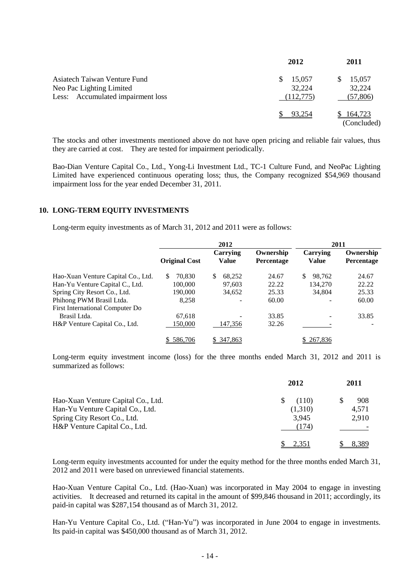|                                                                                               | 2012                                | 2011                          |
|-----------------------------------------------------------------------------------------------|-------------------------------------|-------------------------------|
| Asiatech Taiwan Venture Fund<br>Neo Pac Lighting Limited<br>Less: Accumulated impairment loss | S.<br>15,057<br>32,224<br>(112,775) | 15,057<br>32,224<br>(57, 806) |
|                                                                                               | 93.254                              | 164,723<br>(Concluded)        |

The stocks and other investments mentioned above do not have open pricing and reliable fair values, thus they are carried at cost. They are tested for impairment periodically.

Bao-Dian Venture Capital Co., Ltd., Yong-Li Investment Ltd., TC-1 Culture Fund, and NeoPac Lighting Limited have experienced continuous operating loss; thus, the Company recognized \$54,969 thousand impairment loss for the year ended December 31, 2011.

#### **10. LONG-TERM EQUITY INVESTMENTS**

Long-term equity investments as of March 31, 2012 and 2011 were as follows:

|                                    |                      | 2012              | 2011                    |                          |                         |
|------------------------------------|----------------------|-------------------|-------------------------|--------------------------|-------------------------|
|                                    | <b>Original Cost</b> | Carrying<br>Value | Ownership<br>Percentage | Carrying<br><b>Value</b> | Ownership<br>Percentage |
| Hao-Xuan Venture Capital Co., Ltd. | \$.<br>70.830        | 68,252<br>\$.     | 24.67                   | \$<br>98.762             | 24.67                   |
| Han-Yu Venture Capital C., Ltd.    | 100,000              | 97.603            | 22.22                   | 134,270                  | 22.22                   |
| Spring City Resort Co., Ltd.       | 190,000              | 34,652            | 25.33                   | 34,804                   | 25.33                   |
| Phihong PWM Brasil Ltda.           | 8,258                |                   | 60.00                   |                          | 60.00                   |
| First International Computer Do    |                      |                   |                         |                          |                         |
| Brasil Ltda.                       | 67,618               |                   | 33.85                   | -                        | 33.85                   |
| H&P Venture Capital Co., Ltd.      | 150,000              | 147,356           | 32.26                   |                          |                         |
|                                    | \$586,706            | \$ 347,863        |                         | 267,836                  |                         |

Long-term equity investment income (loss) for the three months ended March 31, 2012 and 2011 is summarized as follows:

|                                    | 2012        | 2011  |  |
|------------------------------------|-------------|-------|--|
| Hao-Xuan Venture Capital Co., Ltd. | (110)<br>S. | 908   |  |
| Han-Yu Venture Capital Co., Ltd.   | (1,310)     | 4,571 |  |
| Spring City Resort Co., Ltd.       | 3.945       | 2,910 |  |
| H&P Venture Capital Co., Ltd.      | (174)       |       |  |
|                                    | 2,351       | 8,389 |  |

Long-term equity investments accounted for under the equity method for the three months ended March 31, 2012 and 2011 were based on unreviewed financial statements.

Hao-Xuan Venture Capital Co., Ltd. (Hao-Xuan) was incorporated in May 2004 to engage in investing activities. It decreased and returned its capital in the amount of \$99,846 thousand in 2011; accordingly, its paid-in capital was \$287,154 thousand as of March 31, 2012.

Han-Yu Venture Capital Co., Ltd. ("Han-Yu") was incorporated in June 2004 to engage in investments. Its paid-in capital was \$450,000 thousand as of March 31, 2012.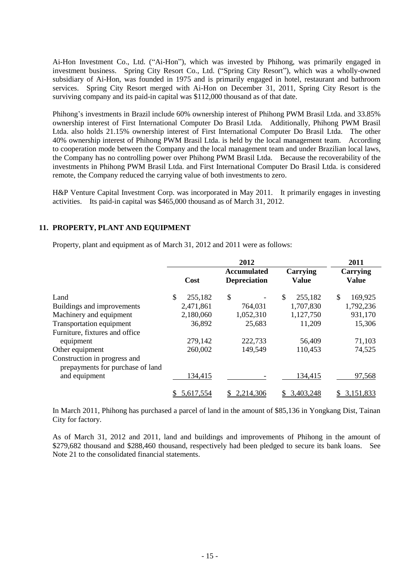Ai-Hon Investment Co., Ltd. ("Ai-Hon"), which was invested by Phihong, was primarily engaged in investment business. Spring City Resort Co., Ltd. ("Spring City Resort"), which was a wholly-owned subsidiary of Ai-Hon, was founded in 1975 and is primarily engaged in hotel, restaurant and bathroom services. Spring City Resort merged with Ai-Hon on December 31, 2011, Spring City Resort is the surviving company and its paid-in capital was \$112,000 thousand as of that date.

Phihong's investments in Brazil include 60% ownership interest of Phihong PWM Brasil Ltda. and 33.85% ownership interest of First International Computer Do Brasil Ltda. Additionally, Phihong PWM Brasil Ltda. also holds 21.15% ownership interest of First International Computer Do Brasil Ltda. The other 40% ownership interest of Phihong PWM Brasil Ltda. is held by the local management team. According to cooperation mode between the Company and the local management team and under Brazilian local laws, the Company has no controlling power over Phihong PWM Brasil Ltda. Because the recoverability of the investments in Phihong PWM Brasil Ltda. and First International Computer Do Brasil Ltda. is considered remote, the Company reduced the carrying value of both investments to zero.

H&P Venture Capital Investment Corp. was incorporated in May 2011. It primarily engages in investing activities. Its paid-in capital was \$465,000 thousand as of March 31, 2012.

#### **11. PROPERTY, PLANT AND EQUIPMENT**

Property, plant and equipment as of March 31, 2012 and 2011 were as follows:

|                                                                  | 2012 |           |    |                                           |    |                          | 2011 |                          |
|------------------------------------------------------------------|------|-----------|----|-------------------------------------------|----|--------------------------|------|--------------------------|
|                                                                  |      | Cost      |    | <b>Accumulated</b><br><b>Depreciation</b> |    | Carrying<br><b>Value</b> |      | Carrying<br><b>Value</b> |
| Land                                                             | \$   | 255,182   | \$ |                                           | \$ | 255,182                  | \$   | 169,925                  |
| Buildings and improvements                                       |      | 2,471,861 |    | 764,031                                   |    | 1,707,830                |      | 1,792,236                |
| Machinery and equipment                                          |      | 2,180,060 |    | 1,052,310                                 |    | 1,127,750                |      | 931,170                  |
| Transportation equipment                                         |      | 36,892    |    | 25,683                                    |    | 11,209                   |      | 15,306                   |
| Furniture, fixtures and office                                   |      |           |    |                                           |    |                          |      |                          |
| equipment                                                        |      | 279,142   |    | 222,733                                   |    | 56,409                   |      | 71,103                   |
| Other equipment                                                  |      | 260,002   |    | 149,549                                   |    | 110,453                  |      | 74,525                   |
| Construction in progress and<br>prepayments for purchase of land |      |           |    |                                           |    |                          |      |                          |
| and equipment                                                    |      | 134,415   |    |                                           |    | 134,415                  |      | 97,568                   |
|                                                                  |      | 5,617,554 |    | 2,214,306                                 |    | 3,403,248                | \$.  | 3,151,833                |

In March 2011, Phihong has purchased a parcel of land in the amount of \$85,136 in Yongkang Dist, Tainan City for factory.

As of March 31, 2012 and 2011, land and buildings and improvements of Phihong in the amount of \$279,682 thousand and \$288,460 thousand, respectively had been pledged to secure its bank loans. See Note 21 to the consolidated financial statements.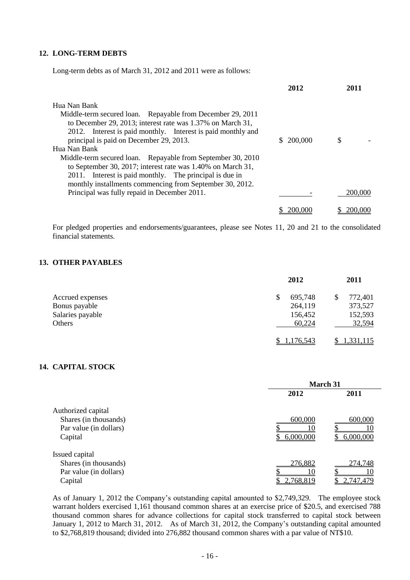#### **12. LONG-TERM DEBTS**

Long-term debts as of March 31, 2012 and 2011 were as follows:

|                                                              | 2012           | 2011    |
|--------------------------------------------------------------|----------------|---------|
| Hua Nan Bank                                                 |                |         |
| Middle-term secured loan. Repayable from December 29, 2011   |                |         |
| to December 29, 2013; interest rate was 1.37% on March 31,   |                |         |
| 2012. Interest is paid monthly. Interest is paid monthly and |                |         |
| principal is paid on December 29, 2013.                      | 200,000<br>\$. | S       |
| Hua Nan Bank                                                 |                |         |
| Middle-term secured loan. Repayable from September 30, 2010  |                |         |
| to September 30, 2017; interest rate was 1.40% on March 31,  |                |         |
| 2011. Interest is paid monthly. The principal is due in      |                |         |
| monthly installments commencing from September 30, 2012.     |                |         |
| Principal was fully repaid in December 2011.                 |                | 200,000 |
|                                                              | 200 00         | 200.000 |

For pledged properties and endorsements/guarantees, please see Notes 11, 20 and 21 to the consolidated financial statements.

## **13. OTHER PAYABLES**

|                  | 2012          | 2011             |
|------------------|---------------|------------------|
| Accrued expenses | 695,748<br>\$ | 772,401<br>S     |
| Bonus payable    | 264,119       | 373,527          |
| Salaries payable | 156,452       | 152,593          |
| Others           | 60,224        | 32,594           |
|                  | 1,176,543     | <u>1,331,115</u> |

## **14. CAPITAL STOCK**

|                        | <b>March 31</b> |                  |  |
|------------------------|-----------------|------------------|--|
|                        | 2012            | 2011             |  |
| Authorized capital     |                 |                  |  |
| Shares (in thousands)  | 600,000         | 600,000          |  |
| Par value (in dollars) |                 |                  |  |
| Capital                | 6,000,000       | 6,000,000        |  |
| Issued capital         |                 |                  |  |
| Shares (in thousands)  | 276,882         | 274,748          |  |
| Par value (in dollars) |                 |                  |  |
| Capital                | 2,768,819       | <u>2,747,479</u> |  |

As of January 1, 2012 the Company's outstanding capital amounted to \$2,749,329. The employee stock warrant holders exercised 1,161 thousand common shares at an exercise price of \$20.5, and exercised 788 thousand common shares for advance collections for capital stock transferred to capital stock between January 1, 2012 to March 31, 2012. As of March 31, 2012, the Company's outstanding capital amounted to \$2,768,819 thousand; divided into 276,882 thousand common shares with a par value of NT\$10.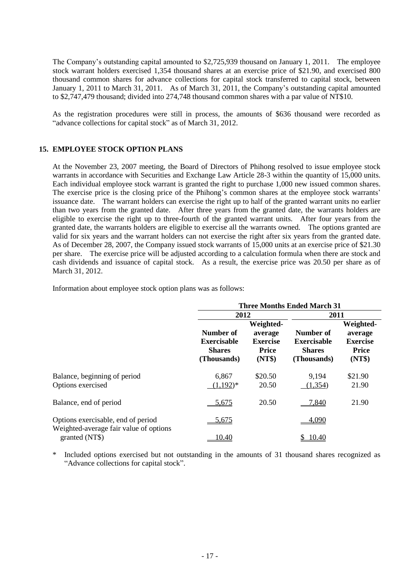The Company's outstanding capital amounted to \$2,725,939 thousand on January 1, 2011. The employee stock warrant holders exercised 1,354 thousand shares at an exercise price of \$21.90, and exercised 800 thousand common shares for advance collections for capital stock transferred to capital stock, between January 1, 2011 to March 31, 2011. As of March 31, 2011, the Company's outstanding capital amounted to \$2,747,479 thousand; divided into 274,748 thousand common shares with a par value of NT\$10.

As the registration procedures were still in process, the amounts of \$636 thousand were recorded as "advance collections for capital stock" as of March 31, 2012.

#### **15. EMPLOYEE STOCK OPTION PLANS**

At the November 23, 2007 meeting, the Board of Directors of Phihong resolved to issue employee stock warrants in accordance with Securities and Exchange Law Article 28-3 within the quantity of 15,000 units. Each individual employee stock warrant is granted the right to purchase 1,000 new issued common shares. The exercise price is the closing price of the Phihong's common shares at the employee stock warrants' issuance date. The warrant holders can exercise the right up to half of the granted warrant units no earlier than two years from the granted date. After three years from the granted date, the warrants holders are eligible to exercise the right up to three-fourth of the granted warrant units. After four years from the granted date, the warrants holders are eligible to exercise all the warrants owned. The options granted are valid for six years and the warrant holders can not exercise the right after six years from the granted date. As of December 28, 2007, the Company issued stock warrants of 15,000 units at an exercise price of \$21.30 per share. The exercise price will be adjusted according to a calculation formula when there are stock and cash dividends and issuance of capital stock. As a result, the exercise price was 20.50 per share as of March 31, 2012.

Information about employee stock option plans was as follows:

|                                                                              | <b>Three Months Ended March 31</b>                       |                                                                   |                                                                 |                                                                   |
|------------------------------------------------------------------------------|----------------------------------------------------------|-------------------------------------------------------------------|-----------------------------------------------------------------|-------------------------------------------------------------------|
|                                                                              | 2012                                                     |                                                                   | 2011                                                            |                                                                   |
|                                                                              | Number of<br>Exercisable<br><b>Shares</b><br>(Thousands) | Weighted-<br>average<br><b>Exercise</b><br><b>Price</b><br>(NT\$) | Number of<br><b>Exercisable</b><br><b>Shares</b><br>(Thousands) | Weighted-<br>average<br><b>Exercise</b><br><b>Price</b><br>(NT\$) |
| Balance, beginning of period<br>Options exercised                            | 6,867<br>$(1,192)^*$                                     | \$20.50<br>20.50                                                  | 9,194<br>(1, 354)                                               | \$21.90<br>21.90                                                  |
| Balance, end of period                                                       | 5,675                                                    | 20.50                                                             | 7,840                                                           | 21.90                                                             |
| Options exercisable, end of period<br>Weighted-average fair value of options | 5,675                                                    |                                                                   | 4,090                                                           |                                                                   |
| granted (NT\$)                                                               | 10.40                                                    |                                                                   | 10.40                                                           |                                                                   |

\* Included options exercised but not outstanding in the amounts of 31 thousand shares recognized as "Advance collections for capital stock".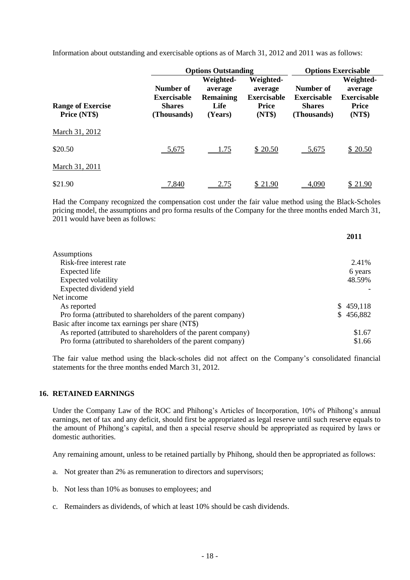Information about outstanding and exercisable options as of March 31, 2012 and 2011 was as follows:

|                                          |                                                                 | <b>Options Outstanding</b>                                  |                                                                      | <b>Options Exercisable</b>                                      |                                                                      |  |
|------------------------------------------|-----------------------------------------------------------------|-------------------------------------------------------------|----------------------------------------------------------------------|-----------------------------------------------------------------|----------------------------------------------------------------------|--|
| <b>Range of Exercise</b><br>Price (NT\$) | Number of<br><b>Exercisable</b><br><b>Shares</b><br>(Thousands) | Weighted-<br>average<br><b>Remaining</b><br>Life<br>(Years) | Weighted-<br>average<br><b>Exercisable</b><br><b>Price</b><br>(NT\$) | Number of<br><b>Exercisable</b><br><b>Shares</b><br>(Thousands) | Weighted-<br>average<br><b>Exercisable</b><br><b>Price</b><br>(NT\$) |  |
| March 31, 2012                           |                                                                 |                                                             |                                                                      |                                                                 |                                                                      |  |
| \$20.50                                  | 5,675                                                           | <u>1.75</u>                                                 | \$20.50                                                              | 5,675                                                           | \$20.50                                                              |  |
| March 31, 2011                           |                                                                 |                                                             |                                                                      |                                                                 |                                                                      |  |
| \$21.90                                  | 840.'                                                           | 2.75                                                        | \$21.90                                                              | 4.090                                                           | \$21.90                                                              |  |

Had the Company recognized the compensation cost under the fair value method using the Black-Scholes pricing model, the assumptions and pro forma results of the Company for the three months ended March 31, 2011 would have been as follows:

**2011**

|                                                                | 40 L L        |
|----------------------------------------------------------------|---------------|
| Assumptions                                                    |               |
| Risk-free interest rate                                        | 2.41%         |
| Expected life                                                  | 6 years       |
| Expected volatility                                            | 48.59%        |
| Expected dividend yield                                        |               |
| Net income                                                     |               |
| As reported                                                    | \$459,118     |
| Pro forma (attributed to shareholders of the parent company)   | 456,882<br>S. |
| Basic after income tax earnings per share (NT\$)               |               |
| As reported (attributed to shareholders of the parent company) | \$1.67        |
| Pro forma (attributed to shareholders of the parent company)   | \$1.66        |

The fair value method using the black-scholes did not affect on the Company's consolidated financial statements for the three months ended March 31, 2012.

#### **16. RETAINED EARNINGS**

Under the Company Law of the ROC and Phihong's Articles of Incorporation, 10% of Phihong's annual earnings, net of tax and any deficit, should first be appropriated as legal reserve until such reserve equals to the amount of Phihong's capital, and then a special reserve should be appropriated as required by laws or domestic authorities.

Any remaining amount, unless to be retained partially by Phihong, should then be appropriated as follows:

- a. Not greater than 2% as remuneration to directors and supervisors;
- b. Not less than 10% as bonuses to employees; and
- c. Remainders as dividends, of which at least 10% should be cash dividends.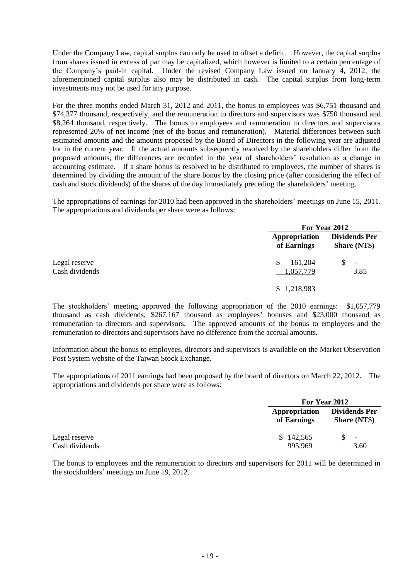Under the Company Law, capital surplus can only be used to offset a deficit. However, the capital surplus from shares issued in excess of par may be capitalized, which however is limited to a certain percentage of the Company's paid-in capital. Under the revised Company Law issued on January 4, 2012, the aforementioned capital surplus also may be distributed in cash. The capital surplus from long-term investments may not be used for any purpose.

For the three months ended March 31, 2012 and 2011, the bonus to employees was \$6,751 thousand and \$74,377 thousand, respectively, and the remuneration to directors and supervisors was \$750 thousand and \$8,264 thousand, respectively. The bonus to employees and remuneration to directors and supervisors represented 20% of net income (net of the bonus and remuneration). Material differences between such estimated amounts and the amounts proposed by the Board of Directors in the following year are adjusted for in the current year. If the actual amounts subsequently resolved by the shareholders differ from the proposed amounts, the differences are recorded in the year of shareholders' resolution as a change in accounting estimate. If a share bonus is resolved to be distributed to employees, the number of shares is determined by dividing the amount of the share bonus by the closing price (after considering the effect of cash and stock dividends) of the shares of the day immediately preceding the shareholders' meeting.

The appropriations of earnings for 2010 had been approved in the shareholders' meetings on June 15, 2011. The appropriations and dividends per share were as follows:

|                                 |                              | For Year 2012                               |  |  |
|---------------------------------|------------------------------|---------------------------------------------|--|--|
|                                 | Appropriation<br>of Earnings | <b>Dividends Per</b><br><b>Share (NT\$)</b> |  |  |
| Legal reserve<br>Cash dividends | 161,204<br>\$<br>1,057,779   | $\overline{\phantom{a}}$<br>3.85            |  |  |
|                                 | 1,218,983                    |                                             |  |  |

The stockholders' meeting approved the following appropriation of the 2010 earnings: \$1,057,779 thousand as cash dividends; \$267,167 thousand as employees' bonuses and \$23,000 thousand as remuneration to directors and supervisors. The approved amounts of the bonus to employees and the remuneration to directors and supervisors have no difference from the accrual amounts.

Information about the bonus to employees, directors and supervisors is available on the Market Observation Post System website of the Taiwan Stock Exchange.

The appropriations of 2011 earnings had been proposed by the board of directors on March 22, 2012. The appropriations and dividends per share were as follows:

|                |                              | For Year 2012                               |  |  |
|----------------|------------------------------|---------------------------------------------|--|--|
|                | Appropriation<br>of Earnings | <b>Dividends Per</b><br><b>Share (NT\$)</b> |  |  |
| Legal reserve  | \$142,565                    | $\overline{\phantom{a}}$                    |  |  |
| Cash dividends | 995,969                      | 3.60                                        |  |  |

The bonus to employees and the remuneration to directors and supervisors for 2011 will be determined in the stockholders' meetings on June 19, 2012.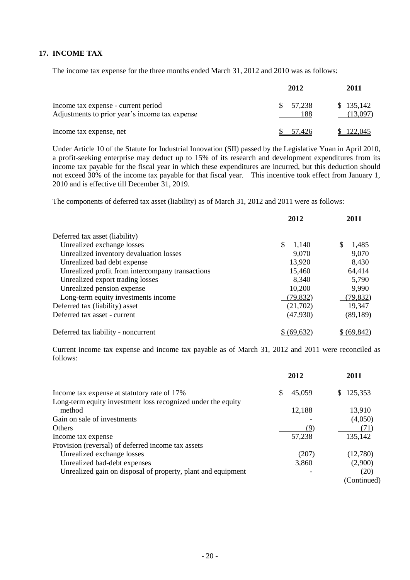# **17. INCOME TAX**

The income tax expense for the three months ended March 31, 2012 and 2010 was as follows:

|                                                                                       | 2012                | 2011                  |
|---------------------------------------------------------------------------------------|---------------------|-----------------------|
| Income tax expense - current period<br>Adjustments to prior year's income tax expense | 57,238<br>S.<br>188 | \$135,142<br>(13,097) |
| Income tax expense, net                                                               | 57.426              | \$122,045             |

Under Article 10 of the Statute for Industrial Innovation (SII) passed by the Legislative Yuan in April 2010, a profit-seeking enterprise may deduct up to 15% of its research and development expenditures from its income tax payable for the fiscal year in which these expenditures are incurred, but this deduction should not exceed 30% of the income tax payable for that fiscal year. This incentive took effect from January 1, 2010 and is effective till December 31, 2019.

The components of deferred tax asset (liability) as of March 31, 2012 and 2011 were as follows:

|                                                  | 2012        | 2011        |
|--------------------------------------------------|-------------|-------------|
| Deferred tax asset (liability)                   |             |             |
| Unrealized exchange losses                       | \$<br>1,140 | 1,485<br>\$ |
| Unrealized inventory devaluation losses          | 9,070       | 9,070       |
| Unrealized bad debt expense                      | 13,920      | 8,430       |
| Unrealized profit from intercompany transactions | 15,460      | 64,414      |
| Unrealized export trading losses                 | 8,340       | 5,790       |
| Unrealized pension expense                       | 10,200      | 9,990       |
| Long-term equity investments income              | (79, 832)   | (79, 832)   |
| Deferred tax (liability) asset                   | (21,702)    | 19,347      |
| Deferred tax asset - current                     | (47,930)    | (89, 189)   |
| Deferred tax liability - noncurrent              | \$ (69,632) | \$ (69,842) |

Current income tax expense and income tax payable as of March 31, 2012 and 2011 were reconciled as follows:

|                                                              |     | 2012   | 2011        |
|--------------------------------------------------------------|-----|--------|-------------|
| Income tax expense at statutory rate of 17%                  | \$. | 45,059 | \$125,353   |
| Long-term equity investment loss recognized under the equity |     |        |             |
| method                                                       |     | 12,188 | 13,910      |
| Gain on sale of investments                                  |     |        | (4,050)     |
| <b>Others</b>                                                |     | (9)    | (71)        |
| Income tax expense                                           |     | 57,238 | 135,142     |
| Provision (reversal) of deferred income tax assets           |     |        |             |
| Unrealized exchange losses                                   |     | (207)  | (12,780)    |
| Unrealized bad-debt expenses                                 |     | 3,860  | (2,900)     |
| Unrealized gain on disposal of property, plant and equipment |     |        | (20)        |
|                                                              |     |        | (Continued) |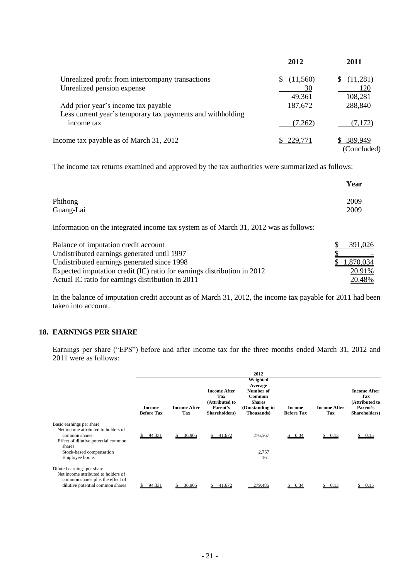|                                                            | 2012     | 2011        |
|------------------------------------------------------------|----------|-------------|
| Unrealized profit from intercompany transactions           | (11,560) | (11,281)    |
| Unrealized pension expense                                 | 30       | 120         |
|                                                            | 49,361   | 108,281     |
| Add prior year's income tax payable                        | 187,672  | 288,840     |
| Less current year's temporary tax payments and withholding |          |             |
| income tax                                                 | (7,262)  | (7,172)     |
| Income tax payable as of March 31, 2012                    | 229.771  | 389,949     |
|                                                            |          | (Concluded) |

The income tax returns examined and approved by the tax authorities were summarized as follows:

|                                                                                      | Year      |
|--------------------------------------------------------------------------------------|-----------|
| Phihong                                                                              | 2009      |
| Guang-Lai                                                                            | 2009      |
| Information on the integrated income tax system as of March 31, 2012 was as follows: |           |
| Balance of imputation credit account                                                 | 391.026   |
| Undistributed earnings generated until 1997                                          |           |
| Undistributed earnings generated since 1998                                          | 1,870,034 |
| Expected imputation credit (IC) ratio for earnings distribution in 2012              | 20.91%    |
| Actual IC ratio for earnings distribution in 2011                                    | 20.48%    |

In the balance of imputation credit account as of March 31, 2012, the income tax payable for 2011 had been taken into account.

## **18. EARNINGS PER SHARE**

Earnings per share ("EPS") before and after income tax for the three months ended March 31, 2012 and 2011 were as follows:

|                                                                                                                                           |                                    |                            |                                                                    | 2012                                                                                                        |                             |                            |                                                                           |
|-------------------------------------------------------------------------------------------------------------------------------------------|------------------------------------|----------------------------|--------------------------------------------------------------------|-------------------------------------------------------------------------------------------------------------|-----------------------------|----------------------------|---------------------------------------------------------------------------|
|                                                                                                                                           | <b>Income</b><br><b>Before Tax</b> | <b>Income After</b><br>Tax | Income After<br>Tax<br>(Attributed to<br>Parent's<br>Shareholders) | Weighted<br>Average<br>Number of<br><b>Common</b><br><b>Shares</b><br>(Outstanding in<br><b>Thousands</b> ) | Income<br><b>Before Tax</b> | <b>Income After</b><br>Tax | <b>Income After</b><br>Tax<br>(Attributed to<br>Parent's<br>Shareholders) |
| Basic earnings per share<br>Net income attributed to holders of<br>common shares<br>Effect of dilutive potential common<br>shares         | \$94,331                           | 36,905<br>S.               | \$41,672                                                           | 276,567                                                                                                     | \$0.34                      | \$0.13                     | \$0.15                                                                    |
| Stock-based compensation<br>Employee bonus                                                                                                |                                    |                            |                                                                    | 2,757<br>161                                                                                                |                             |                            |                                                                           |
| Diluted earnings per share<br>Net income attributed to holders of<br>common shares plus the effect of<br>dilutive potential common shares | 94,331                             | 36.905                     | 41,672                                                             | 279,485                                                                                                     | 0.34                        | \$0.13                     | \$0.15                                                                    |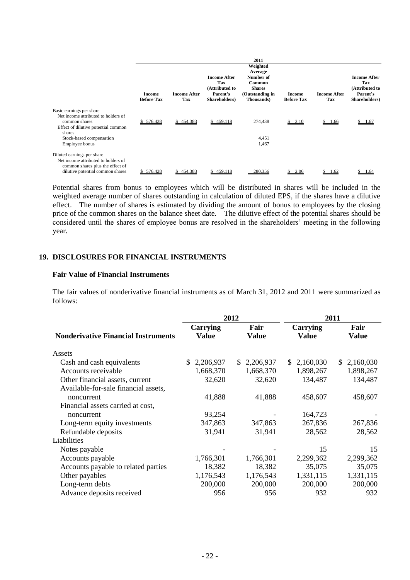|                                                                                                                                                                                 | Income<br><b>Before Tax</b> | <b>Income After</b><br>Tax | <b>Income After</b><br>Tax<br>(Attributed to<br>Parent's<br>Shareholders) | 2011<br>Weighted<br>Average<br>Number of<br>Common<br><b>Shares</b><br>(Outstanding in<br><b>Thousands</b> ) | Income<br><b>Before Tax</b> | <b>Income After</b><br>Tax | <b>Income After</b><br>Tax<br>(Attributed to<br>Parent's<br>Shareholders) |
|---------------------------------------------------------------------------------------------------------------------------------------------------------------------------------|-----------------------------|----------------------------|---------------------------------------------------------------------------|--------------------------------------------------------------------------------------------------------------|-----------------------------|----------------------------|---------------------------------------------------------------------------|
| Basic earnings per share<br>Net income attributed to holders of<br>common shares<br>Effect of dilutive potential common<br>shares<br>Stock-based compensation<br>Employee bonus | \$576,428                   | \$454,383                  | \$459,118                                                                 | 274,438<br>4,451<br>1,467                                                                                    | \$2.10                      | \$1.66                     | \$1.67                                                                    |
| Diluted earnings per share<br>Net income attributed to holders of<br>common shares plus the effect of<br>dilutive potential common shares                                       | 576,428                     | 454.383                    | 459.118                                                                   | 280,356                                                                                                      | 2.06                        | l.62                       | .64                                                                       |

Potential shares from bonus to employees which will be distributed in shares will be included in the weighted average number of shares outstanding in calculation of diluted EPS, if the shares have a dilutive effect. The number of shares is estimated by dividing the amount of bonus to employees by the closing price of the common shares on the balance sheet date. The dilutive effect of the potential shares should be considered until the shares of employee bonus are resolved in the shareholders' meeting in the following year.

#### **19. DISCLOSURES FOR FINANCIAL INSTRUMENTS**

#### **Fair Value of Financial Instruments**

The fair values of nonderivative financial instruments as of March 31, 2012 and 2011 were summarized as follows:

|                                                    |                                 | 2012                 | 2011              |                      |  |
|----------------------------------------------------|---------------------------------|----------------------|-------------------|----------------------|--|
| <b>Nonderivative Financial Instruments</b>         | <b>Carrying</b><br><b>Value</b> | Fair<br><b>Value</b> | Carrying<br>Value | Fair<br><b>Value</b> |  |
| Assets                                             |                                 |                      |                   |                      |  |
| Cash and cash equivalents                          | 2,206,937<br>\$                 | \$2,206,937          | \$2,160,030       | \$2,160,030          |  |
| Accounts receivable                                | 1,668,370                       | 1,668,370            | 1,898,267         | 1,898,267            |  |
| Other financial assets, current                    | 32,620                          | 32,620               | 134,487           | 134,487              |  |
| Available-for-sale financial assets,<br>noncurrent | 41,888                          | 41,888               | 458,607           | 458,607              |  |
| Financial assets carried at cost,                  |                                 |                      |                   |                      |  |
| noncurrent                                         | 93,254                          |                      | 164,723           |                      |  |
| Long-term equity investments                       | 347,863                         | 347,863              | 267,836           | 267,836              |  |
| Refundable deposits                                | 31,941                          | 31,941               | 28,562            | 28,562               |  |
| Liabilities                                        |                                 |                      |                   |                      |  |
| Notes payable                                      |                                 |                      | 15                | 15                   |  |
| Accounts payable                                   | 1,766,301                       | 1,766,301            | 2,299,362         | 2,299,362            |  |
| Accounts payable to related parties                | 18,382                          | 18,382               | 35,075            | 35,075               |  |
| Other payables                                     | 1,176,543                       | 1,176,543            | 1,331,115         | 1,331,115            |  |
| Long-term debts                                    | 200,000                         | 200,000              | 200,000           | 200,000              |  |
| Advance deposits received                          | 956                             | 956                  | 932               | 932                  |  |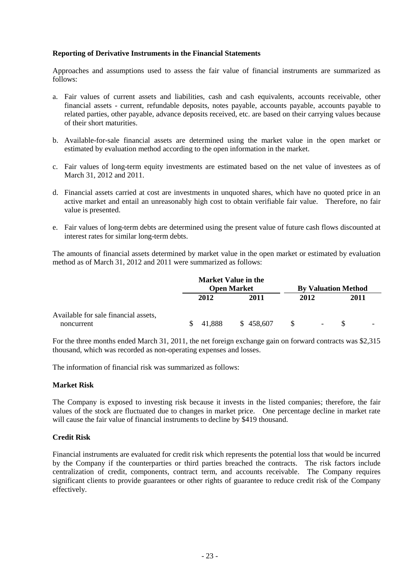#### **Reporting of Derivative Instruments in the Financial Statements**

Approaches and assumptions used to assess the fair value of financial instruments are summarized as follows:

- a. Fair values of current assets and liabilities, cash and cash equivalents, accounts receivable, other financial assets - current, refundable deposits, notes payable, accounts payable, accounts payable to related parties, other payable, advance deposits received, etc. are based on their carrying values because of their short maturities.
- b. Available-for-sale financial assets are determined using the market value in the open market or estimated by evaluation method according to the open information in the market.
- c. Fair values of long-term equity investments are estimated based on the net value of investees as of March 31, 2012 and 2011.
- d. Financial assets carried at cost are investments in unquoted shares, which have no quoted price in an active market and entail an unreasonably high cost to obtain verifiable fair value. Therefore, no fair value is presented.
- e. Fair values of long-term debts are determined using the present value of future cash flows discounted at interest rates for similar long-term debts.

The amounts of financial assets determined by market value in the open market or estimated by evaluation method as of March 31, 2012 and 2011 were summarized as follows:

|                                                    |        | <b>Market Value in the</b><br><b>Open Market</b> | <b>By Valuation Method</b> |      |  |
|----------------------------------------------------|--------|--------------------------------------------------|----------------------------|------|--|
|                                                    | 2012   | 2011                                             | 2012                       | 2011 |  |
| Available for sale financial assets,<br>noncurrent | 41,888 | \$458,607                                        | $\blacksquare$             |      |  |

For the three months ended March 31, 2011, the net foreign exchange gain on forward contracts was \$2,315 thousand, which was recorded as non-operating expenses and losses.

The information of financial risk was summarized as follows:

#### **Market Risk**

The Company is exposed to investing risk because it invests in the listed companies; therefore, the fair values of the stock are fluctuated due to changes in market price. One percentage decline in market rate will cause the fair value of financial instruments to decline by \$419 thousand.

#### **Credit Risk**

Financial instruments are evaluated for credit risk which represents the potential loss that would be incurred by the Company if the counterparties or third parties breached the contracts. The risk factors include centralization of credit, components, contract term, and accounts receivable. The Company requires significant clients to provide guarantees or other rights of guarantee to reduce credit risk of the Company effectively.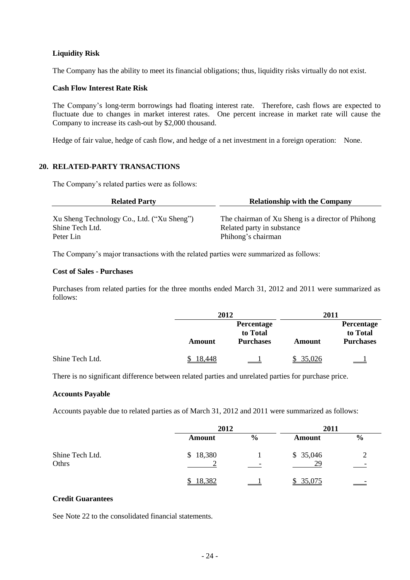### **Liquidity Risk**

The Company has the ability to meet its financial obligations; thus, liquidity risks virtually do not exist.

#### **Cash Flow Interest Rate Risk**

The Company's long-term borrowings had floating interest rate. Therefore, cash flows are expected to fluctuate due to changes in market interest rates. One percent increase in market rate will cause the Company to increase its cash-out by \$2,000 thousand.

Hedge of fair value, hedge of cash flow, and hedge of a net investment in a foreign operation: None.

#### **20. RELATED-PARTY TRANSACTIONS**

The Company's related parties were as follows:

| <b>Related Party</b>                       | <b>Relationship with the Company</b>              |
|--------------------------------------------|---------------------------------------------------|
| Xu Sheng Technology Co., Ltd. ("Xu Sheng") | The chairman of Xu Sheng is a director of Phihong |
| Shine Tech Ltd.                            | Related party in substance                        |
| Peter Lin                                  | Phihong's chairman                                |

The Company's major transactions with the related parties were summarized as follows:

#### **Cost of Sales - Purchases**

Purchases from related parties for the three months ended March 31, 2012 and 2011 were summarized as follows:

|                 | 2012   |                                                   | 2011          |                                            |
|-----------------|--------|---------------------------------------------------|---------------|--------------------------------------------|
|                 | Amount | <b>Percentage</b><br>to Total<br><b>Purchases</b> | <b>Amount</b> | Percentage<br>to Total<br><b>Purchases</b> |
| Shine Tech Ltd. | 18.448 |                                                   | 35,026        | $\sim$ 100 $\pm$                           |

There is no significant difference between related parties and unrelated parties for purchase price.

#### **Accounts Payable**

Accounts payable due to related parties as of March 31, 2012 and 2011 were summarized as follows:

|                          | 2012          |               | 2011           |               |  |
|--------------------------|---------------|---------------|----------------|---------------|--|
|                          | <b>Amount</b> | $\frac{6}{9}$ | Amount         | $\frac{6}{9}$ |  |
| Shine Tech Ltd.<br>Othrs | \$18,380      |               | \$35,046<br>29 |               |  |
|                          | 18,382        |               | 35,075         |               |  |

#### **Credit Guarantees**

See Note 22 to the consolidated financial statements.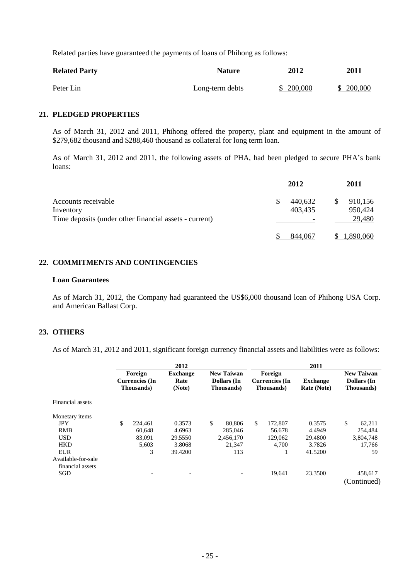Related parties have guaranteed the payments of loans of Phihong as follows:

| <b>Related Party</b> | <b>Nature</b>   | 2012      | <b>2011</b> |
|----------------------|-----------------|-----------|-------------|
| Peter Lin            | Long-term debts | \$200,000 | \$ 200,000  |

#### **21. PLEDGED PROPERTIES**

As of March 31, 2012 and 2011, Phihong offered the property, plant and equipment in the amount of \$279,682 thousand and \$288,460 thousand as collateral for long term loan.

As of March 31, 2012 and 2011, the following assets of PHA, had been pledged to secure PHA's bank loans:

|                                                        |   | 2012                     |   | 2011      |
|--------------------------------------------------------|---|--------------------------|---|-----------|
| Accounts receivable                                    | S | 440,632                  | S | 910,156   |
| Inventory                                              |   | 403,435                  |   | 950,424   |
| Time deposits (under other financial assets - current) |   | $\overline{\phantom{0}}$ |   | 29,480    |
|                                                        |   | 844,067                  |   | 1,890,060 |

## **22. COMMITMENTS AND CONTINGENCIES**

#### **Loan Guarantees**

As of March 31, 2012, the Company had guaranteed the US\$6,000 thousand loan of Phihong USA Corp. and American Ballast Corp.

#### **23. OTHERS**

As of March 31, 2012 and 2011, significant foreign currency financial assets and liabilities were as follows:

|                    | 2012 |                                                        |                                   |    | 2011                                                          |    |                                                |                                       |    |                                                               |
|--------------------|------|--------------------------------------------------------|-----------------------------------|----|---------------------------------------------------------------|----|------------------------------------------------|---------------------------------------|----|---------------------------------------------------------------|
|                    |      | Foreign<br><b>Currencies</b> (In<br><b>Thousands</b> ) | <b>Exchange</b><br>Rate<br>(Note) |    | <b>New Taiwan</b><br><b>Dollars</b> (In<br><b>Thousands</b> ) |    | Foreign<br><b>Currencies</b> (In<br>Thousands) | <b>Exchange</b><br><b>Rate (Note)</b> |    | <b>New Taiwan</b><br><b>Dollars</b> (In<br><b>Thousands</b> ) |
| Financial assets   |      |                                                        |                                   |    |                                                               |    |                                                |                                       |    |                                                               |
| Monetary items     |      |                                                        |                                   |    |                                                               |    |                                                |                                       |    |                                                               |
| <b>JPY</b>         | \$   | 224.461                                                | 0.3573                            | \$ | 80,806                                                        | \$ | 172,807                                        | 0.3575                                | \$ | 62,211                                                        |
| <b>RMB</b>         |      | 60,648                                                 | 4.6963                            |    | 285,046                                                       |    | 56,678                                         | 4.4949                                |    | 254,484                                                       |
| <b>USD</b>         |      | 83.091                                                 | 29.5550                           |    | 2,456,170                                                     |    | 129,062                                        | 29.4800                               |    | 3,804,748                                                     |
| <b>HKD</b>         |      | 5,603                                                  | 3.8068                            |    | 21.347                                                        |    | 4.700                                          | 3.7826                                |    | 17,766                                                        |
| <b>EUR</b>         |      | 3                                                      | 39.4200                           |    | 113                                                           |    |                                                | 41.5200                               |    | 59                                                            |
| Available-for-sale |      |                                                        |                                   |    |                                                               |    |                                                |                                       |    |                                                               |
| financial assets   |      |                                                        |                                   |    |                                                               |    |                                                |                                       |    |                                                               |
| SGD                |      |                                                        | $\overline{\phantom{a}}$          |    |                                                               |    | 19,641                                         | 23.3500                               |    | 458,617<br>(Continued)                                        |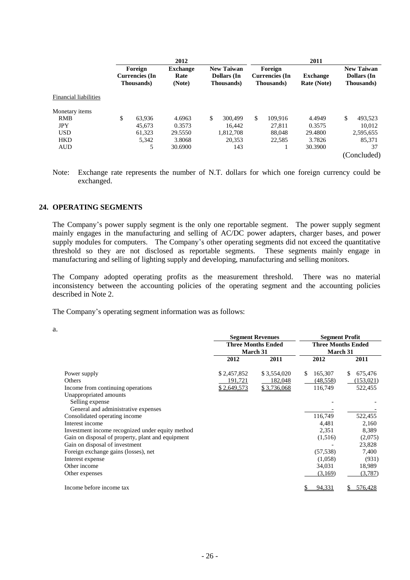|                              | 2012 |                                                 |                                   |    | 2011                                                          |    |                                                |                                       |    |                                                |
|------------------------------|------|-------------------------------------------------|-----------------------------------|----|---------------------------------------------------------------|----|------------------------------------------------|---------------------------------------|----|------------------------------------------------|
|                              |      | Foreign<br>Currencies (In<br><b>Thousands</b> ) | <b>Exchange</b><br>Rate<br>(Note) |    | <b>New Taiwan</b><br><b>Dollars</b> (In<br><b>Thousands</b> ) |    | Foreign<br><b>Currencies</b> (In<br>Thousands) | <b>Exchange</b><br><b>Rate (Note)</b> |    | <b>New Taiwan</b><br>Dollars (In<br>Thousands) |
| <b>Financial liabilities</b> |      |                                                 |                                   |    |                                                               |    |                                                |                                       |    |                                                |
| Monetary items               |      |                                                 |                                   |    |                                                               |    |                                                |                                       |    |                                                |
| <b>RMB</b>                   | \$   | 63.936                                          | 4.6963                            | \$ | 300.499                                                       | \$ | 109.916                                        | 4.4949                                | \$ | 493,523                                        |
| <b>JPY</b>                   |      | 45,673                                          | 0.3573                            |    | 16,442                                                        |    | 27,811                                         | 0.3575                                |    | 10,012                                         |
| <b>USD</b>                   |      | 61.323                                          | 29.5550                           |    | 1,812,708                                                     |    | 88,048                                         | 29.4800                               |    | 2,595,655                                      |
| <b>HKD</b>                   |      | 5,342                                           | 3.8068                            |    | 20,353                                                        |    | 22.585                                         | 3.7826                                |    | 85,371                                         |
| <b>AUD</b>                   |      | 5                                               | 30.6900                           |    | 143                                                           |    |                                                | 30.3900                               |    | 37                                             |
|                              |      |                                                 |                                   |    |                                                               |    |                                                |                                       |    | (Concluded)                                    |

Note: Exchange rate represents the number of N.T. dollars for which one foreign currency could be exchanged.

#### **24. OPERATING SEGMENTS**

The Company's power supply segment is the only one reportable segment. The power supply segment mainly engages in the manufacturing and selling of AC/DC power adapters, charger bases, and power supply modules for computers. The Company's other operating segments did not exceed the quantitative threshold so they are not disclosed as reportable segments. These segments mainly engage in manufacturing and selling of lighting supply and developing, manufacturing and selling monitors.

The Company adopted operating profits as the measurement threshold. There was no material inconsistency between the accounting policies of the operating segment and the accounting policies described in Note 2.

The Company's operating segment information was as follows:

a.

|                                                   |             | <b>Segment Revenues</b>   | <b>Segment Profit</b>     |               |  |  |
|---------------------------------------------------|-------------|---------------------------|---------------------------|---------------|--|--|
|                                                   |             | <b>Three Months Ended</b> | <b>Three Months Ended</b> |               |  |  |
|                                                   |             | <b>March 31</b>           | <b>March 31</b>           |               |  |  |
|                                                   | 2012        | 2011                      | 2012                      | 2011          |  |  |
| Power supply                                      | \$2,457,852 | \$3,554,020               | 165,307<br>S              | 675,476<br>\$ |  |  |
| Others                                            | 191,721     | 182,048                   | (48, 558)                 | (153, 021)    |  |  |
| Income from continuing operations                 | \$2,649,573 | <u>\$3,736,068</u>        | 116,749                   | 522,455       |  |  |
| Unappropriated amounts                            |             |                           |                           |               |  |  |
| Selling expense                                   |             |                           |                           |               |  |  |
| General and administrative expenses               |             |                           |                           |               |  |  |
| Consolidated operating income                     |             |                           | 116,749                   | 522,455       |  |  |
| Interest income                                   |             |                           | 4,481                     | 2,160         |  |  |
| Investment income recognized under equity method  |             |                           | 2,351                     | 8,389         |  |  |
| Gain on disposal of property, plant and equipment |             |                           | (1,516)                   | (2,075)       |  |  |
| Gain on disposal of investment                    |             |                           |                           | 23,828        |  |  |
| Foreign exchange gains (losses), net              |             |                           | (57, 538)                 | 7,400         |  |  |
| Interest expense                                  |             |                           | (1,058)                   | (931)         |  |  |
| Other income                                      |             |                           | 34,031                    | 18,989        |  |  |
| Other expenses                                    |             |                           | (3,169)                   | (3,787)       |  |  |
| Income before income tax                          |             |                           | 94,331                    | 576,428       |  |  |